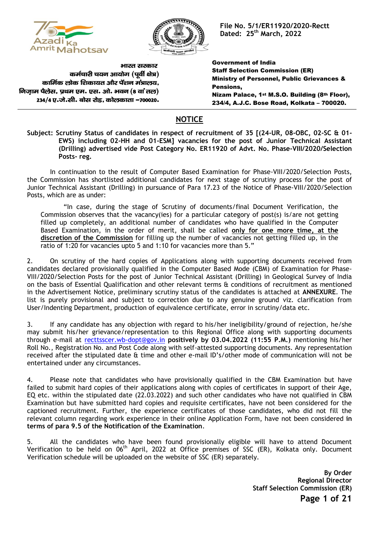



**File No. 5/1/ER11920/2020-Rectt Dated: 25 th March, 2022**

भारत सरकार कर्मचारी चयन आयोग (पर्वी क्षेत्र) कार्मिक लोक शिकायत और पेंशन मंत्रालय. निजाम पैलेस, प्रथम एम. एस. ओ. भवन (8 वां तल) 234/4 ए.जे.सी. बोस रोड, कोलकाता -700020.

Government of India Staff Selection Commission (ER) Ministry of Personnel, Public Grievances & Pensions, Nizam Palace, 1st M.S.O. Building (8th Floor), 234/4, A.J.C. Bose Road, Kolkata – 700020.

## **NOTICE**

**Subject: Scrutiny Status of candidates in respect of recruitment of 35 [(24-UR, 08-OBC, 02-SC & 01- EWS) including 02-HH and 01-ESM] vacancies for the post of Junior Technical Assistant (Drilling) advertised vide Post Category No. ER11920 of Advt. No. Phase-VIII/2020/Selection Posts- reg.**

In continuation to the result of Computer Based Examination for Phase-VIII/2020/Selection Posts, the Commission has shortlisted additional candidates for next stage of scrutiny process for the post of Junior Technical Assistant (Drilling) in pursuance of Para 17.23 of the Notice of Phase-VIII/2020/Selection Posts, which are as under:

"In case, during the stage of Scrutiny of documents/final Document Verification, the Commission observes that the vacancy(ies) for a particular category of post(s) is/are not getting filled up completely, an additional number of candidates who have qualified in the Computer Based Examination, in the order of merit, shall be called **only for one more time, at the discretion of the Commission** for filling up the number of vacancies not getting filled up, in the ratio of 1:20 for vacancies upto 5 and 1:10 for vacancies more than 5."

2. On scrutiny of the hard copies of Applications along with supporting documents received from candidates declared provisionally qualified in the Computer Based Mode (CBM) of Examination for Phase-VIII/2020/Selection Posts for the post of Junior Technical Assistant (Drilling) in Geological Survey of India on the basis of Essential Qualification and other relevant terms & conditions of recruitment as mentioned in the Advertisement Notice, preliminary scrutiny status of the candidates is attached at **ANNEXURE**. The list is purely provisional and subject to correction due to any genuine ground viz. clarification from User/Indenting Department, production of equivalence certificate, error in scrutiny/data etc.

3. If any candidate has any objection with regard to his/her ineligibility/ground of rejection, he/she may submit his/her grievance/representation to this Regional Office along with supporting documents through e-mail at [recttsscer.wb-dopt@gov.in](mailto:recttsscer.wb-dopt@gov.in) **positively by 03.04.2022 (11:55 P.M.)** mentioning his/her Roll No., Registration No. and Post Code along with self-attested supporting documents. Any representation received after the stipulated date & time and other e-mail ID's/other mode of communication will not be entertained under any circumstances.

4. Please note that candidates who have provisionally qualified in the CBM Examination but have failed to submit hard copies of their applications along with copies of certificates in support of their Age, EQ etc. within the stipulated date (22.03.2022) and such other candidates who have not qualified in CBM Examination but have submitted hard copies and requisite certificates, have not been considered for the captioned recruitment. Further, the experience certificates of those candidates, who did not fill the relevant column regarding work experience in their online Application Form, have not been considered **in terms of para 9.5 of the Notification of the Examination**.

5. All the candidates who have been found provisionally eligible will have to attend Document Verification to be held on 06th April, 2022 at Office premises of SSC (ER), Kolkata only. Document Verification schedule will be uploaded on the website of SSC (ER) separately.

> **Page 1 of 21 By Order Regional Director Staff Selection Commission (ER)**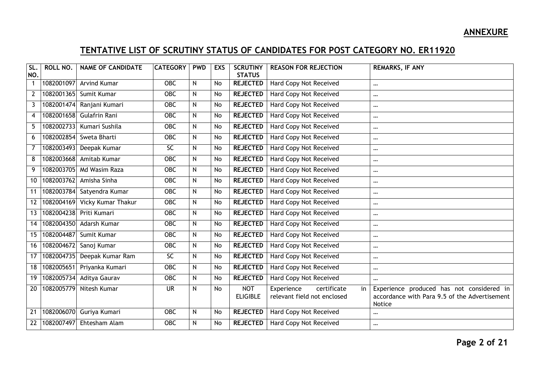## **ANNEXURE**

## **TENTATIVE LIST OF SCRUTINY STATUS OF CANDIDATES FOR POST CATEGORY NO. ER11920**

| SL.<br>NO.        | ROLL NO.   | <b>NAME OF CANDIDATE</b>      | <b>CATEGORY</b> | <b>PWD</b>   | <b>EXS</b> | <b>SCRUTINY</b><br><b>STATUS</b> | <b>REASON FOR REJECTION</b>     | <b>REMARKS, IF ANY</b>                                  |
|-------------------|------------|-------------------------------|-----------------|--------------|------------|----------------------------------|---------------------------------|---------------------------------------------------------|
| $\mathbf{1}$      |            | 1082001097 Arvind Kumar       | <b>OBC</b>      | N            | <b>No</b>  | <b>REJECTED</b>                  | Hard Copy Not Received          | $\cdots$                                                |
| 2                 |            | 1082001365 Sumit Kumar        | <b>OBC</b>      | $\mathsf{N}$ | No         | <b>REJECTED</b>                  | Hard Copy Not Received          | $\cdots$                                                |
| $\mathbf{3}$      | 1082001474 | Ranjani Kumari                | <b>OBC</b>      | $\mathsf{N}$ | No         | <b>REJECTED</b>                  | Hard Copy Not Received          | $\cdots$                                                |
| 4                 |            | 1082001658 Gulafrin Rani      | <b>OBC</b>      | $\mathsf{N}$ | No         | <b>REJECTED</b>                  | <b>Hard Copy Not Received</b>   | $\cdots$                                                |
| 5                 | 1082002733 | Kumari Sushila                | <b>OBC</b>      | $\mathsf{N}$ | <b>No</b>  | <b>REJECTED</b>                  | Hard Copy Not Received          | $\cdots$                                                |
| 6                 |            | 1082002854 Sweta Bharti       | <b>OBC</b>      | $\mathsf{N}$ | No         | <b>REJECTED</b>                  | Hard Copy Not Received          | $\cdots$                                                |
| $\overline{7}$    | 1082003493 | Deepak Kumar                  | $\overline{SC}$ | $\mathsf{N}$ | No         | <b>REJECTED</b>                  | Hard Copy Not Received          | $\cdots$                                                |
| 8                 |            | 1082003668 Amitab Kumar       | <b>OBC</b>      | $\mathsf{N}$ | No         | <b>REJECTED</b>                  | Hard Copy Not Received          | $\cdots$                                                |
| 9                 |            | 1082003705 Md Wasim Raza      | <b>OBC</b>      | N            | <b>No</b>  | <b>REJECTED</b>                  | Hard Copy Not Received          | $\cdots$                                                |
| 10                |            | 1082003762 Amisha Sinha       | <b>OBC</b>      | N            | No         | <b>REJECTED</b>                  | Hard Copy Not Received          | $\cdots$                                                |
| 11                |            | 1082003784 Satyendra Kumar    | <b>OBC</b>      | N            | No         | <b>REJECTED</b>                  | Hard Copy Not Received          | $\cdots$                                                |
| $12 \overline{ }$ |            | 1082004169 Vicky Kumar Thakur | <b>OBC</b>      | N            | No         | <b>REJECTED</b>                  | Hard Copy Not Received          | $\cdots$                                                |
| 13                |            | 1082004238 Priti Kumari       | <b>OBC</b>      | N            | No         | <b>REJECTED</b>                  | Hard Copy Not Received          | $\cdots$                                                |
| 14                |            | 1082004350 Adarsh Kumar       | OBC             | $\mathsf{N}$ | No         | <b>REJECTED</b>                  | Hard Copy Not Received          | $\cdots$                                                |
| 15                | 1082004487 | Sumit Kumar                   | <b>OBC</b>      | N            | No         | <b>REJECTED</b>                  | Hard Copy Not Received          | $\cdots$                                                |
| 16                | 1082004672 | Sanoj Kumar                   | <b>OBC</b>      | N            | No         | <b>REJECTED</b>                  | Hard Copy Not Received          | $\cdots$                                                |
| 17                | 1082004735 | Deepak Kumar Ram              | <b>SC</b>       | $\mathsf{N}$ | No         | <b>REJECTED</b>                  | Hard Copy Not Received          | $\cdots$                                                |
| 18                | 1082005651 | Priyanka Kumari               | <b>OBC</b>      | N            | No         | <b>REJECTED</b>                  | Hard Copy Not Received          | $\cdots$                                                |
| 19                | 1082005734 | Aditya Gaurav                 | <b>OBC</b>      | N            | No         | <b>REJECTED</b>                  | Hard Copy Not Received          | $\cdots$                                                |
| 20                | 1082005779 | Nitesh Kumar                  | <b>UR</b>       | $\mathsf{N}$ | No         | <b>NOT</b>                       | certificate<br>Experience<br>in | Experience produced has not considered in               |
|                   |            |                               |                 |              |            | <b>ELIGIBLE</b>                  | relevant field not enclosed     | accordance with Para 9.5 of the Advertisement<br>Notice |
| 21                |            | 1082006070 Guriya Kumari      | <b>OBC</b>      | N            | No         | <b>REJECTED</b>                  | Hard Copy Not Received          | $\cdots$                                                |
| 22                |            | 1082007497 Ehtesham Alam      | <b>OBC</b>      | $\mathsf{N}$ | No         | <b>REJECTED</b>                  | Hard Copy Not Received          | $\cdots$                                                |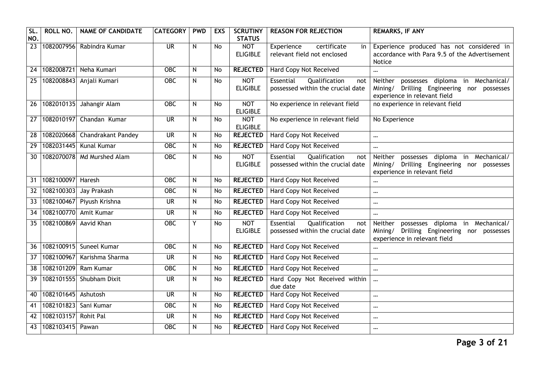| SL.<br>NO.      | ROLL NO.            | <b>NAME OF CANDIDATE</b>      | <b>CATEGORY</b>          | <b>PWD</b> | <b>EXS</b> | <b>SCRUTINY</b><br><b>STATUS</b> | <b>REASON FOR REJECTION</b>                                            | <b>REMARKS, IF ANY</b>                                                                                                 |
|-----------------|---------------------|-------------------------------|--------------------------|------------|------------|----------------------------------|------------------------------------------------------------------------|------------------------------------------------------------------------------------------------------------------------|
| $\overline{23}$ |                     | 1082007956 Rabindra Kumar     | $\overline{\mathsf{UR}}$ | N          | No         | <b>NOT</b><br><b>ELIGIBLE</b>    | certificate<br>Experience<br>in<br>relevant field not enclosed         | Experience produced has not considered in<br>accordance with Para 9.5 of the Advertisement<br>Notice                   |
| 24              |                     | 1082008721 Neha Kumari        | <b>OBC</b>               | N          | <b>No</b>  | <b>REJECTED</b>                  | Hard Copy Not Received                                                 | $\cdots$                                                                                                               |
| 25              | 1082008843          | Anjali Kumari                 | OBC                      | N          | No         | <b>NOT</b><br><b>ELIGIBLE</b>    | Qualification<br>Essential<br>not<br>possessed within the crucial date | Neither possesses diploma in Mechanical/<br>Mining/ Drilling Engineering nor possesses<br>experience in relevant field |
| 26              |                     | 1082010135 Jahangir Alam      | $\overline{OBC}$         | N          | <b>No</b>  | <b>NOT</b><br><b>ELIGIBLE</b>    | No experience in relevant field                                        | no experience in relevant field                                                                                        |
| $\overline{27}$ |                     | 1082010197 Chandan Kumar      | $\overline{\mathsf{UR}}$ | N          | <b>No</b>  | <b>NOT</b><br><b>ELIGIBLE</b>    | No experience in relevant field                                        | No Experience                                                                                                          |
| 28              |                     | 1082020668 Chandrakant Pandey | <b>UR</b>                | N          | <b>No</b>  | <b>REJECTED</b>                  | Hard Copy Not Received                                                 | $\cdots$                                                                                                               |
| 29              |                     | 1082031445 Kunal Kumar        | <b>OBC</b>               | N          | No         | <b>REJECTED</b>                  | Hard Copy Not Received                                                 | $\ddotsc$                                                                                                              |
| 30              |                     | 1082070078 Md Murshed Alam    | OBC                      | N          | No         | <b>NOT</b><br><b>ELIGIBLE</b>    | Qualification<br>Essential<br>not<br>possessed within the crucial date | Neither possesses diploma in Mechanical/<br>Mining/ Drilling Engineering nor possesses<br>experience in relevant field |
| 31              | 1082100097 Haresh   |                               | OBC                      | N          | No         | <b>REJECTED</b>                  | Hard Copy Not Received                                                 | $\ddotsc$                                                                                                              |
| 32              | 1082100303          | Jay Prakash                   | $\overline{OBC}$         | N          | No         | <b>REJECTED</b>                  | Hard Copy Not Received                                                 | $\cdots$                                                                                                               |
| 33              |                     | 1082100467 Piyush Krishna     | <b>UR</b>                | N          | No         | <b>REJECTED</b>                  | Hard Copy Not Received                                                 | $\cdots$                                                                                                               |
| 34              |                     | 1082100770 Amit Kumar         | <b>UR</b>                | N          | No         | <b>REJECTED</b>                  | Hard Copy Not Received                                                 | $\cdots$                                                                                                               |
| $\overline{35}$ | 1082100869          | <b>Aavid Khan</b>             | $\overline{OBC}$         | Y          | No         | <b>NOT</b><br><b>ELIGIBLE</b>    | Essential<br>Qualification<br>not<br>possessed within the crucial date | Neither possesses diploma in Mechanical/<br>Mining/ Drilling Engineering nor possesses<br>experience in relevant field |
| 36              |                     | 1082100915 Suneel Kumar       | <b>OBC</b>               | N          | No         | <b>REJECTED</b>                  | Hard Copy Not Received                                                 | $\ddotsc$                                                                                                              |
| 37              |                     | 1082100967 Karishma Sharma    | <b>UR</b>                | N          | <b>No</b>  | <b>REJECTED</b>                  | Hard Copy Not Received                                                 | $\cdots$                                                                                                               |
| 38              | 1082101209          | Ram Kumar                     | $\overline{OBC}$         | N          | <b>No</b>  | <b>REJECTED</b>                  | <b>Hard Copy Not Received</b>                                          | $\cdots$                                                                                                               |
| 39              | 1082101555          | Shubham Dixit                 | <b>UR</b>                | N          | No         | <b>REJECTED</b>                  | Hard Copy Not Received within<br>due date                              | $\ddotsc$                                                                                                              |
| 40              | 1082101645 Ashutosh |                               | <b>UR</b>                | N          | No         | <b>REJECTED</b>                  | <b>Hard Copy Not Received</b>                                          | $\cdots$                                                                                                               |
| 41              | 1082101823          | Sani Kumar                    | <b>OBC</b>               | N          | No         | <b>REJECTED</b>                  | Hard Copy Not Received                                                 | $\cdots$                                                                                                               |
| 42              | 1082103157          | Rohit Pal                     | <b>UR</b>                | N          | No         | <b>REJECTED</b>                  | Hard Copy Not Received                                                 | $\cdots$                                                                                                               |
| 43              | 1082103415 Pawan    |                               | <b>OBC</b>               | N          | No         | <b>REJECTED</b>                  | Hard Copy Not Received                                                 | $\cdots$                                                                                                               |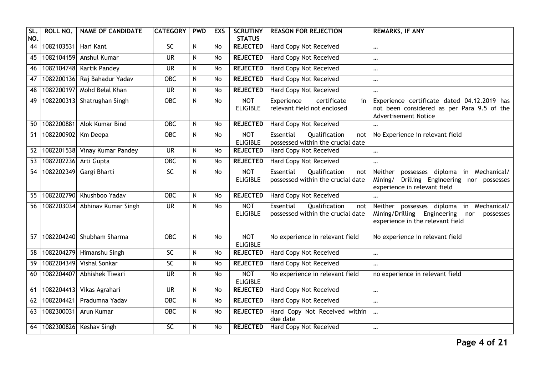| SL<br>NO.       | ROLL NO.              | <b>NAME OF CANDIDATE</b>      | <b>CATEGORY</b>          | <b>PWD</b> | <b>EXS</b> | <b>SCRUTINY</b><br><b>STATUS</b> | <b>REASON FOR REJECTION</b>                                            | <b>REMARKS, IF ANY</b>                                                                                                             |
|-----------------|-----------------------|-------------------------------|--------------------------|------------|------------|----------------------------------|------------------------------------------------------------------------|------------------------------------------------------------------------------------------------------------------------------------|
| $\overline{44}$ | 1082103531 Hari Kant  |                               | 5C                       | N          | No         | <b>REJECTED</b>                  | Hard Copy Not Received                                                 | $\cdots$                                                                                                                           |
| $\overline{45}$ |                       | 1082104159 Anshul Kumar       | $\overline{\mathsf{UR}}$ | N          | No         | <b>REJECTED</b>                  | <b>Hard Copy Not Received</b>                                          | $\cdots$                                                                                                                           |
| 46              | 1082104748            | Kartik Pandey                 | <b>UR</b>                | N          | No         | <b>REJECTED</b>                  | Hard Copy Not Received                                                 | $\cdots$                                                                                                                           |
| $\overline{47}$ |                       | 1082200136 Raj Bahadur Yadav  | $\overline{OBC}$         | N          | No         | <b>REJECTED</b>                  | Hard Copy Not Received                                                 | $\cdots$                                                                                                                           |
| 48              |                       | 1082200197 Mohd Belal Khan    | <b>UR</b>                | N          | No         | <b>REJECTED</b>                  | Hard Copy Not Received                                                 | $\ddotsc$                                                                                                                          |
| 49              |                       | 1082200313 Shatrughan Singh   | OBC                      | N          | <b>No</b>  | <b>NOT</b><br><b>ELIGIBLE</b>    | Experience<br>certificate<br>in<br>relevant field not enclosed         | Experience certificate dated 04.12.2019 has<br>not been considered as per Para 9.5 of the<br><b>Advertisement Notice</b>           |
| 50              |                       | 1082200881 Alok Kumar Bind    | $\overline{OBC}$         | N          | <b>No</b>  | <b>REJECTED</b>                  | <b>Hard Copy Not Received</b>                                          | $\cdots$                                                                                                                           |
| 51              | 1082200902            | Km Deepa                      | <b>OBC</b>               | N          | No         | <b>NOT</b><br><b>ELIGIBLE</b>    | Essential<br>Qualification<br>not<br>possessed within the crucial date | No Experience in relevant field                                                                                                    |
| 52              |                       | 1082201538 Vinay Kumar Pandey | <b>UR</b>                | N          | <b>No</b>  | <b>REJECTED</b>                  | Hard Copy Not Received                                                 | $\cdots$                                                                                                                           |
| $\overline{53}$ | 1082202236 Arti Gupta |                               | $\overline{OBC}$         | N          | <b>No</b>  | <b>REJECTED</b>                  | <b>Hard Copy Not Received</b>                                          | $\cdots$                                                                                                                           |
| 54              |                       | 1082202349 Gargi Bharti       | $\overline{SC}$          | N          | No         | <b>NOT</b><br><b>ELIGIBLE</b>    | Essential<br>Qualification<br>not<br>possessed within the crucial date | possesses diploma in Mechanical/<br>Neither<br>Drilling Engineering nor possesses<br>Mining/<br>experience in relevant field       |
| 55              |                       | 1082202790 Khushboo Yadav     | <b>OBC</b>               | N          | No         | <b>REJECTED</b>                  | <b>Hard Copy Not Received</b>                                          |                                                                                                                                    |
| 56              | 1082203034            | Abhinav Kumar Singh           | <b>UR</b>                | N          | No         | <b>NOT</b><br><b>ELIGIBLE</b>    | Essential<br>Qualification<br>not<br>possessed within the crucial date | Neither possesses diploma<br>in Mechanical/<br>Mining/Drilling Engineering<br>nor<br>possesses<br>experience in the relevant field |
| 57              |                       | 1082204240 Shubham Sharma     | <b>OBC</b>               | N          | <b>No</b>  | <b>NOT</b><br><b>ELIGIBLE</b>    | No experience in relevant field                                        | No experience in relevant field                                                                                                    |
| 58              |                       | 1082204279 Himanshu Singh     | 5C                       | N          | No         | <b>REJECTED</b>                  | <b>Hard Copy Not Received</b>                                          | $\cdots$                                                                                                                           |
| 59              | 1082204349            | <b>Vishal Sonkar</b>          | 5C                       | N          | No         | <b>REJECTED</b>                  | <b>Hard Copy Not Received</b>                                          | $\ddotsc$                                                                                                                          |
| 60              | 1082204407            | Abhishek Tiwari               | <b>UR</b>                | N          | No         | <b>NOT</b><br><b>ELIGIBLE</b>    | No experience in relevant field                                        | no experience in relevant field                                                                                                    |
| 61              | 1082204413            | Vikas Agrahari                | $\overline{\mathsf{UR}}$ | N          | <b>No</b>  | <b>REJECTED</b>                  | <b>Hard Copy Not Received</b>                                          | $\ddotsc$                                                                                                                          |
| 62              | 1082204421            | Pradumna Yadav                | $\overline{OBC}$         | N          | No         | <b>REJECTED</b>                  | <b>Hard Copy Not Received</b>                                          | $\ddotsc$                                                                                                                          |
| 63              | 1082300031            | Arun Kumar                    | OBC                      | N          | No         | <b>REJECTED</b>                  | Hard Copy Not Received within<br>due date                              | $\ddotsc$                                                                                                                          |
| 64              |                       | 1082300826 Keshav Singh       | $\overline{SC}$          | N          | No         | <b>REJECTED</b>                  | Hard Copy Not Received                                                 | $\cdots$                                                                                                                           |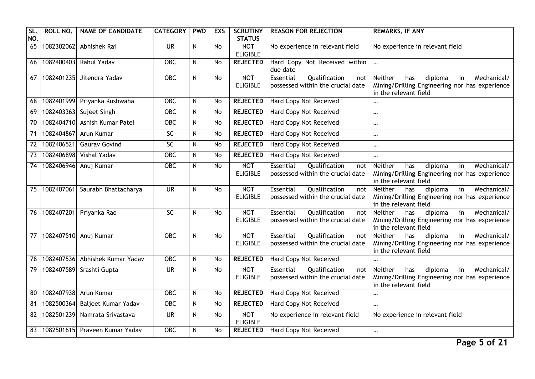| SL.<br>NO.      | ROLL NO.   | <b>NAME OF CANDIDATE</b>        | <b>CATEGORY</b>          | <b>PWD</b> | <b>EXS</b>     | <b>SCRUTINY</b><br><b>STATUS</b> | <b>REASON FOR REJECTION</b>                                            | <b>REMARKS, IF ANY</b>                                                                                                                          |
|-----------------|------------|---------------------------------|--------------------------|------------|----------------|----------------------------------|------------------------------------------------------------------------|-------------------------------------------------------------------------------------------------------------------------------------------------|
| 65              | 1082302062 | Abhishek Rai                    | <b>UR</b>                | N          | No             | <b>NOT</b><br><b>ELIGIBLE</b>    | No experience in relevant field                                        | No experience in relevant field                                                                                                                 |
| 66              | 1082400403 | Rahul Yadav                     | <b>OBC</b>               | N          | <b>No</b>      | <b>REJECTED</b>                  | Hard Copy Not Received within<br>due date                              | $\cdots$                                                                                                                                        |
| 67              | 1082401235 | Jitendra Yadav                  | OBC                      | N          | No             | <b>NOT</b><br><b>ELIGIBLE</b>    | Essential<br>Qualification<br>not<br>possessed within the crucial date | Mechanical/<br>Neither<br>has<br>diploma<br>in<br>Mining/Drilling Engineering nor has experience<br>in the relevant field                       |
| 68              |            | 1082401999 Priyanka Kushwaha    | $\overline{OBC}$         | N          | No             | <b>REJECTED</b>                  | <b>Hard Copy Not Received</b>                                          | $\cdots$                                                                                                                                        |
| 69              | 1082403363 | Sujeet Singh                    | $\overline{OBC}$         | N          | No             | <b>REJECTED</b>                  | <b>Hard Copy Not Received</b>                                          | $\cdots$                                                                                                                                        |
| 70              | 1082404710 | Ashish Kumar Patel              | OBC                      | N          | <b>No</b>      | <b>REJECTED</b>                  | Hard Copy Not Received                                                 | $\cdots$                                                                                                                                        |
| $\overline{71}$ | 1082404867 | Arun Kumar                      | $\overline{SC}$          | N          | <b>No</b>      | <b>REJECTED</b>                  | Hard Copy Not Received                                                 | $\ddotsc$                                                                                                                                       |
| 72              | 1082406521 | <b>Gaurav Govind</b>            | $\overline{SC}$          | N          | No             | <b>REJECTED</b>                  | <b>Hard Copy Not Received</b>                                          | $\cdots$                                                                                                                                        |
| 73              | 1082406898 | Vishal Yadav                    | $\overline{OBC}$         | N          | No             | <b>REJECTED</b>                  | Hard Copy Not Received                                                 | $\cdots$                                                                                                                                        |
| $\overline{74}$ | 1082406946 | Anuj Kumar                      | OBC                      | N          | No             | <b>NOT</b><br><b>ELIGIBLE</b>    | Essential<br>Qualification<br>not<br>possessed within the crucial date | Neither<br>Mechanical/<br>has<br>diploma<br>in<br>Mining/Drilling Engineering nor has experience<br>in the relevant field                       |
| 75              |            | 1082407061 Saurabh Bhattacharya | <b>UR</b>                | N          | No             | <b>NOT</b><br><b>ELIGIBLE</b>    | Qualification<br>Essential<br>not<br>possessed within the crucial date | Neither<br>diploma<br>in<br>Mechanical/<br>has<br>Mining/Drilling Engineering nor has experience<br>in the relevant field                       |
| 76              |            | 1082407201 Priyanka Rao         | $\overline{SC}$          | N          | $\overline{N}$ | <b>NOT</b><br><b>ELIGIBLE</b>    | Qualification<br>Essential<br>not<br>possessed within the crucial date | Neither<br>diploma<br>$\overline{\mathsf{in}}$<br>Mechanical/<br>has<br>Mining/Drilling Engineering nor has experience<br>in the relevant field |
| $\overline{77}$ | 1082407510 | Anuj Kumar                      | $\overline{OBC}$         | N          | No             | <b>NOT</b><br><b>ELIGIBLE</b>    | Essential<br>Qualification<br>not<br>possessed within the crucial date | Mechanical/<br>diploma<br>$\overline{\mathsf{in}}$<br>Neither<br>has<br>Mining/Drilling Engineering nor has experience<br>in the relevant field |
| 78              | 1082407536 | Abhishek Kumar Yadav            | $\overline{OBC}$         | N          | No             | <b>REJECTED</b>                  | Hard Copy Not Received                                                 | $\cdots$                                                                                                                                        |
| 79              | 1082407589 | Srashti Gupta                   | $\overline{\mathsf{UR}}$ | N          | <b>No</b>      | <b>NOT</b><br><b>ELIGIBLE</b>    | Essential<br>Qualification<br>not<br>possessed within the crucial date | Mechanical/<br>Neither<br>has<br>diploma<br>in<br>Mining/Drilling Engineering nor has experience<br>in the relevant field                       |
| 80              |            | 1082407938 Arun Kumar           | <b>OBC</b>               | N          | No             | <b>REJECTED</b>                  | Hard Copy Not Received                                                 | $\cdots$                                                                                                                                        |
| 81              | 1082500364 | Baljeet Kumar Yadav             | <b>OBC</b>               | N          | <b>No</b>      | <b>REJECTED</b>                  | Hard Copy Not Received                                                 | $\cdots$                                                                                                                                        |
| $\overline{82}$ | 1082501239 | Namrata Srivastava              | <b>UR</b>                | N          | No             | <b>NOT</b><br><b>ELIGIBLE</b>    | No experience in relevant field                                        | No experience in relevant field                                                                                                                 |
| 83              |            | 1082501615 Praveen Kumar Yadav  | $\overline{OBC}$         | N          | No             | <b>REJECTED</b>                  | Hard Copy Not Received                                                 | $\cdots$                                                                                                                                        |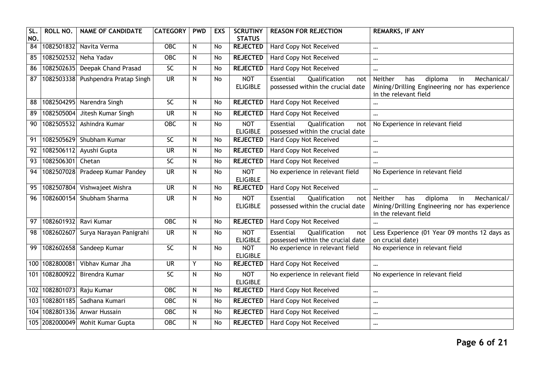| SL<br>NO.       | ROLL NO.       | <b>NAME OF CANDIDATE</b>           | <b>CATEGORY</b>          | <b>PWD</b> | <b>EXS</b> | <b>SCRUTINY</b><br><b>STATUS</b> | <b>REASON FOR REJECTION</b>                                            | <b>REMARKS, IF ANY</b>                                                                                                    |
|-----------------|----------------|------------------------------------|--------------------------|------------|------------|----------------------------------|------------------------------------------------------------------------|---------------------------------------------------------------------------------------------------------------------------|
| $\overline{84}$ |                | 1082501832 Navita Verma            | $\overline{OBC}$         | N          | No         | <b>REJECTED</b>                  | Hard Copy Not Received                                                 | $\cdots$                                                                                                                  |
| 85              | 1082502532     | Neha Yadav                         | $\overline{OBC}$         | N          | <b>No</b>  | <b>REJECTED</b>                  | <b>Hard Copy Not Received</b>                                          | $\cdots$                                                                                                                  |
| 86              | 1082502635     | Deepak Chand Prasad                | <b>SC</b>                | N          | No         | <b>REJECTED</b>                  | Hard Copy Not Received                                                 | $\cdots$                                                                                                                  |
| $\overline{87}$ |                | 1082503338 Pushpendra Pratap Singh | <b>UR</b>                | N          | No         | <b>NOT</b><br><b>ELIGIBLE</b>    | Qualification<br>Essential<br>not<br>possessed within the crucial date | Neither<br>diploma<br>in<br>Mechanical/<br>has<br>Mining/Drilling Engineering nor has experience<br>in the relevant field |
| 88              |                | 1082504295 Narendra Singh          | $\overline{SC}$          | N          | No         | <b>REJECTED</b>                  | Hard Copy Not Received                                                 | $\cdots$                                                                                                                  |
| 89              | 1082505004     | Jitesh Kumar Singh                 | <b>UR</b>                | N          | No         | <b>REJECTED</b>                  | Hard Copy Not Received                                                 | $\cdots$                                                                                                                  |
| 90              | 1082505532     | Ashindra Kumar                     | <b>OBC</b>               | N          | No         | <b>NOT</b><br><b>ELIGIBLE</b>    | Essential<br>Qualification<br>not<br>possessed within the crucial date | No Experience in relevant field                                                                                           |
| 91              |                | 1082505629 Shubham Kumar           | SC                       | N          | <b>No</b>  | <b>REJECTED</b>                  | Hard Copy Not Received                                                 | $\cdots$                                                                                                                  |
| 92              | 1082506112     | Ayushi Gupta                       | <b>UR</b>                | N          | <b>No</b>  | <b>REJECTED</b>                  | Hard Copy Not Received                                                 | $\cdots$                                                                                                                  |
| 93              | 1082506301     | Chetan                             | SC                       | N          | No         | <b>REJECTED</b>                  | Hard Copy Not Received                                                 | $\ddotsc$                                                                                                                 |
| 94              |                | 1082507028 Pradeep Kumar Pandey    | <b>UR</b>                | N          | No         | <b>NOT</b><br><b>ELIGIBLE</b>    | No experience in relevant field                                        | No Experience in relevant field                                                                                           |
| 95              | 1082507804     | Vishwajeet Mishra                  | $\overline{\mathsf{UR}}$ | N          | <b>No</b>  | <b>REJECTED</b>                  | <b>Hard Copy Not Received</b>                                          | $\cdots$                                                                                                                  |
| 96              | 1082600154     | Shubham Sharma                     | <b>UR</b>                | N          | No         | <b>NOT</b><br><b>ELIGIBLE</b>    | Essential<br>Qualification<br>not<br>possessed within the crucial date | Mechanical/<br>Neither<br>has<br>diploma<br>in<br>Mining/Drilling Engineering nor has experience<br>in the relevant field |
| 97              | 1082601932     | Ravi Kumar                         | OBC                      | N          | No         | <b>REJECTED</b>                  | Hard Copy Not Received                                                 |                                                                                                                           |
| 98              |                | 1082602607 Surya Narayan Panigrahi | <b>UR</b>                | N          | No         | <b>NOT</b><br><b>ELIGIBLE</b>    | Essential<br>Qualification<br>not<br>possessed within the crucial date | Less Experience (01 Year 09 months 12 days as<br>on crucial date)                                                         |
| 99              | 1082602658     | Sandeep Kumar                      | SC                       | N          | No         | <b>NOT</b><br><b>ELIGIBLE</b>    | No experience in relevant field                                        | No experience in relevant field                                                                                           |
| 100             | 1082800081     | Vibhav Kumar Jha                   | <b>UR</b>                | Y          | No         | <b>REJECTED</b>                  | Hard Copy Not Received                                                 | $\cdots$                                                                                                                  |
| 101             | 1082800922     | Birendra Kumar                     | $\overline{SC}$          | N          | No         | <b>NOT</b><br><b>ELIGIBLE</b>    | No experience in relevant field                                        | No experience in relevant field                                                                                           |
| 102             | 1082801073     | Raju Kumar                         | $OE$                     | N          | No         | <b>REJECTED</b>                  | <b>Hard Copy Not Received</b>                                          | $\cdots$                                                                                                                  |
| 103             | 1082801185     | Sadhana Kumari                     | <b>OBC</b>               | N          | No         | <b>REJECTED</b>                  | Hard Copy Not Received                                                 | $\cdots$                                                                                                                  |
|                 | 104 1082801336 | Anwar Hussain                      | OBC                      | N          | No         | <b>REJECTED</b>                  | Hard Copy Not Received                                                 | $\cdots$                                                                                                                  |
|                 |                | 105 2082000049 Mohit Kumar Gupta   | $\overline{OBC}$         | N          | No         | <b>REJECTED</b>                  | Hard Copy Not Received                                                 | $\cdots$                                                                                                                  |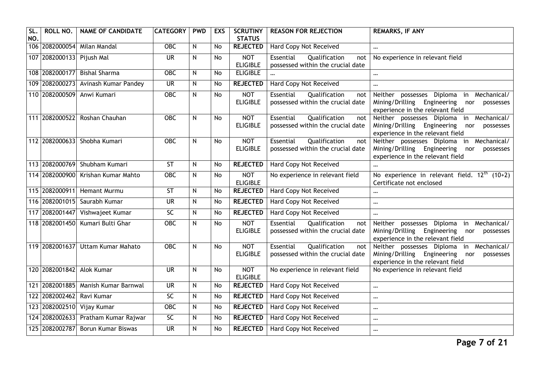| SL<br>NO. | ROLL NO.                  | <b>NAME OF CANDIDATE</b>            | <b>CATEGORY</b>          | <b>PWD</b>     | <b>EXS</b> | <b>SCRUTINY</b><br><b>STATUS</b> | <b>REASON FOR REJECTION</b>                                            | <b>REMARKS, IF ANY</b>                                                                                                                |
|-----------|---------------------------|-------------------------------------|--------------------------|----------------|------------|----------------------------------|------------------------------------------------------------------------|---------------------------------------------------------------------------------------------------------------------------------------|
|           |                           | 106 2082000054 Milan Mandal         | <b>OBC</b>               | N              | No         | <b>REJECTED</b>                  | Hard Copy Not Received                                                 | $\cdots$                                                                                                                              |
|           | 107 2082000133 Pijush Mal |                                     | $\overline{\mathsf{UR}}$ | N              | No         | <b>NOT</b><br><b>ELIGIBLE</b>    | Qualification<br>Essential<br>not<br>possessed within the crucial date | No experience in relevant field                                                                                                       |
|           | 108 2082000177            | <b>Bishal Sharma</b>                | OBC                      | N              | No         | <b>ELIGIBLE</b>                  |                                                                        | $\cdots$                                                                                                                              |
|           | 109 2082000273            | Avinash Kumar Pandey                | $\overline{\mathsf{UR}}$ | N              | No         | <b>REJECTED</b>                  | Hard Copy Not Received                                                 | $\cdots$                                                                                                                              |
|           | 110 2082000509            | Anwi Kumari                         | $OE$                     | N              | No         | <b>NOT</b><br><b>ELIGIBLE</b>    | Essential<br>Qualification<br>not<br>possessed within the crucial date | Neither possesses Diploma<br>Mechanical/<br>in<br>Mining/Drilling Engineering<br>nor<br>possesses<br>experience in the relevant field |
|           | 111 2082000522            | Roshan Chauhan                      | <b>OBC</b>               | N              | No         | <b>NOT</b><br><b>ELIGIBLE</b>    | Qualification<br>Essential<br>not<br>possessed within the crucial date | Neither possesses Diploma in Mechanical/<br>Mining/Drilling Engineering<br>nor<br>possesses<br>experience in the relevant field       |
|           | 112 2082000633            | Shobha Kumari                       | <b>OBC</b>               | N              | No         | <b>NOT</b><br><b>ELIGIBLE</b>    | Essential<br>Qualification<br>not<br>possessed within the crucial date | Neither possesses Diploma in Mechanical/<br>Mining/Drilling Engineering<br>nor<br>possesses<br>experience in the relevant field       |
|           |                           | 113 2082000769 Shubham Kumari       | <b>ST</b>                | N              | No         | <b>REJECTED</b>                  | Hard Copy Not Received                                                 |                                                                                                                                       |
|           |                           | 114 2082000900 Krishan Kumar Mahto  | OBC                      | N              | No         | <b>NOT</b><br><b>ELIGIBLE</b>    | No experience in relevant field                                        | No experience in relevant field. $12th$ (10+2)<br>Certificate not enclosed                                                            |
|           |                           | 115 2082000911 Hemant Murmu         | ST                       | N              | <b>No</b>  | <b>REJECTED</b>                  | <b>Hard Copy Not Received</b>                                          | $\cdots$                                                                                                                              |
|           | 116 2082001015            | Saurabh Kumar                       | <b>UR</b>                | N              | <b>No</b>  | <b>REJECTED</b>                  | Hard Copy Not Received                                                 | $\cdots$                                                                                                                              |
|           |                           | 117 2082001447 Vishwajeet Kumar     | $\overline{SC}$          | N              | <b>No</b>  | <b>REJECTED</b>                  | Hard Copy Not Received                                                 | $\cdots$                                                                                                                              |
|           | 118 2082001450            | Kumari Bulti Ghar                   | $\overline{OBC}$         | N              | <b>No</b>  | <b>NOT</b><br><b>ELIGIBLE</b>    | Essential<br>Qualification<br>not<br>possessed within the crucial date | Neither possesses Diploma in Mechanical/<br>Mining/Drilling Engineering<br>nor<br>possesses<br>experience in the relevant field       |
|           | 119 2082001637            | <b>Uttam Kumar Mahato</b>           | <b>OBC</b>               | N              | <b>No</b>  | <b>NOT</b><br><b>ELIGIBLE</b>    | Essential<br>Qualification<br>not<br>possessed within the crucial date | Neither possesses Diploma in Mechanical/<br>Mining/Drilling Engineering<br>nor<br>possesses<br>experience in the relevant field       |
|           | 120 2082001842 Alok Kumar |                                     | $\overline{\mathsf{UR}}$ | N              | <b>No</b>  | <b>NOT</b><br><b>ELIGIBLE</b>    | No experience in relevant field                                        | No experience in relevant field                                                                                                       |
|           |                           | 121 2082001885 Manish Kumar Barnwal | $\overline{\mathsf{UR}}$ | $\overline{N}$ | <b>No</b>  | <b>REJECTED</b>                  | Hard Copy Not Received                                                 | $\ddotsc$                                                                                                                             |
| 122       | 2082002462                | Ravi Kumar                          | SC                       | N              | No         | <b>REJECTED</b>                  | Hard Copy Not Received                                                 | $\cdots$                                                                                                                              |
|           |                           | 123 2082002510 Vijay Kumar          | OBC                      | N              | <b>No</b>  | <b>REJECTED</b>                  | <b>Hard Copy Not Received</b>                                          | $\cdots$                                                                                                                              |
|           |                           | 124 2082002633 Pratham Kumar Rajwar | $\overline{SC}$          | N              | No         | <b>REJECTED</b>                  | Hard Copy Not Received                                                 | $\cdots$                                                                                                                              |
|           |                           | 125 2082002787 Borun Kumar Biswas   | <b>UR</b>                | N              | <b>No</b>  | <b>REJECTED</b>                  | Hard Copy Not Received                                                 | $\cdots$                                                                                                                              |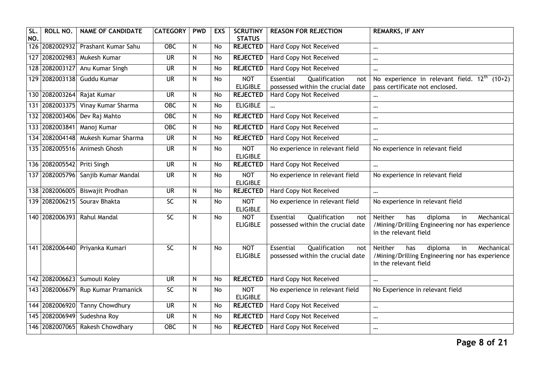| SL.<br>NO. | ROLL NO.       | <b>NAME OF CANDIDATE</b>           | <b>CATEGORY</b>          | <b>PWD</b>     | <b>EXS</b> | <b>SCRUTINY</b><br><b>STATUS</b> | <b>REASON FOR REJECTION</b>                                            | <b>REMARKS, IF ANY</b>                                                                                                           |
|------------|----------------|------------------------------------|--------------------------|----------------|------------|----------------------------------|------------------------------------------------------------------------|----------------------------------------------------------------------------------------------------------------------------------|
|            |                | 126 2082002932 Prashant Kumar Sahu | $OE$                     | N              | <b>No</b>  | <b>REJECTED</b>                  | <b>Hard Copy Not Received</b>                                          | $\cdots$                                                                                                                         |
|            |                | 127 2082002983 Mukesh Kumar        | $\overline{\mathsf{UR}}$ | $\overline{N}$ | <b>No</b>  | <b>REJECTED</b>                  | <b>Hard Copy Not Received</b>                                          | $\cdots$                                                                                                                         |
|            | 128 2082003127 | Anu Kumar Singh                    | <b>UR</b>                | N              | <b>No</b>  | <b>REJECTED</b>                  | Hard Copy Not Received                                                 | $\cdots$                                                                                                                         |
|            |                | 129 2082003138 Guddu Kumar         | $\overline{\mathsf{UR}}$ | $\mathsf{N}$   | <b>No</b>  | <b>NOT</b><br><b>ELIGIBLE</b>    | Essential<br>Qualification<br>not<br>possessed within the crucial date | No experience in relevant field. $12^{\text{th}}$ (10+2)<br>pass certificate not enclosed.                                       |
|            | 130 2082003264 | Rajat Kumar                        | $\overline{\mathsf{UR}}$ | ${\sf N}$      | <b>No</b>  | <b>REJECTED</b>                  | <b>Hard Copy Not Received</b>                                          | $\cdots$                                                                                                                         |
|            | 131 2082003375 | Vinay Kumar Sharma                 | OBC                      | N              | <b>No</b>  | <b>ELIGIBLE</b>                  |                                                                        | $\cdots$                                                                                                                         |
|            |                | 132 2082003406 Dev Raj Mahto       | <b>OBC</b>               | $\mathsf{N}$   | No         | <b>REJECTED</b>                  | <b>Hard Copy Not Received</b>                                          | $\cdots$                                                                                                                         |
|            | 133 2082003841 | Manoj Kumar                        | <b>OBC</b>               | $\mathsf{N}$   | <b>No</b>  | <b>REJECTED</b>                  | <b>Hard Copy Not Received</b>                                          | $\cdots$                                                                                                                         |
|            |                | 134 2082004148 Mukesh Kumar Sharma | $\overline{\mathsf{UR}}$ | ${\sf N}$      | <b>No</b>  | <b>REJECTED</b>                  | <b>Hard Copy Not Received</b>                                          | $\ddotsc$                                                                                                                        |
|            |                | 135 2082005516 Animesh Ghosh       | $\overline{\mathsf{UR}}$ | $\mathsf{N}$   | <b>No</b>  | <b>NOT</b><br><b>ELIGIBLE</b>    | No experience in relevant field                                        | No experience in relevant field                                                                                                  |
|            | 136 2082005542 | Priti Singh                        | <b>UR</b>                | ${\sf N}$      | <b>No</b>  | <b>REJECTED</b>                  | Hard Copy Not Received                                                 | $\cdots$                                                                                                                         |
|            | 137 2082005796 | Sanjib Kumar Mandal                | <b>UR</b>                | $\mathsf{N}$   | <b>No</b>  | <b>NOT</b><br><b>ELIGIBLE</b>    | No experience in relevant field                                        | No experience in relevant field                                                                                                  |
|            |                | 138 2082006005 Biswajit Prodhan    | $\overline{\mathsf{UR}}$ | N              | <b>No</b>  | <b>REJECTED</b>                  | <b>Hard Copy Not Received</b>                                          | $\cdots$                                                                                                                         |
|            |                | 139 2082006215 Souray Bhakta       | <b>SC</b>                | $\mathsf{N}$   | <b>No</b>  | <b>NOT</b><br><b>ELIGIBLE</b>    | No experience in relevant field                                        | No experience in relevant field                                                                                                  |
|            | 140 2082006393 | Rahul Mandal                       | 5C                       | N              | <b>No</b>  | <b>NOT</b><br><b>ELIGIBLE</b>    | Qualification<br>Essential<br>not<br>possessed within the crucial date | Neither<br>diploma<br>Mechanical<br>has<br>in<br>/Mining/Drilling Engineering nor has experience<br>in the relevant field        |
|            |                | 141 2082006440 Priyanka Kumari     | 5C                       | N              | <b>No</b>  | <b>NOT</b><br><b>ELIGIBLE</b>    | Qualification<br>Essential<br>not<br>possessed within the crucial date | <b>Neither</b><br>Mechanical<br>diploma<br>has<br>in<br>/Mining/Drilling Engineering nor has experience<br>in the relevant field |
|            |                | 142 2082006623 Sumouli Koley       | <b>UR</b>                | N              | No         | <b>REJECTED</b>                  | <b>Hard Copy Not Received</b>                                          | $\ddotsc$                                                                                                                        |
|            |                | 143 2082006679 Rup Kumar Pramanick | $\overline{SC}$          | N              | <b>No</b>  | <b>NOT</b><br><b>ELIGIBLE</b>    | No experience in relevant field                                        | No Experience in relevant field                                                                                                  |
|            |                | 144 2082006920 Tanny Chowdhury     | $\overline{\mathsf{UR}}$ | N              | <b>No</b>  | <b>REJECTED</b>                  | <b>Hard Copy Not Received</b>                                          | $\cdots$                                                                                                                         |
|            | 145 2082006949 | Sudeshna Roy                       | <b>UR</b>                | N              | No         | <b>REJECTED</b>                  | Hard Copy Not Received                                                 | $\cdots$                                                                                                                         |
|            |                | 146 2082007065 Rakesh Chowdhary    | $OE$                     | ${\sf N}$      | <b>No</b>  | <b>REJECTED</b>                  | Hard Copy Not Received                                                 | $\cdots$                                                                                                                         |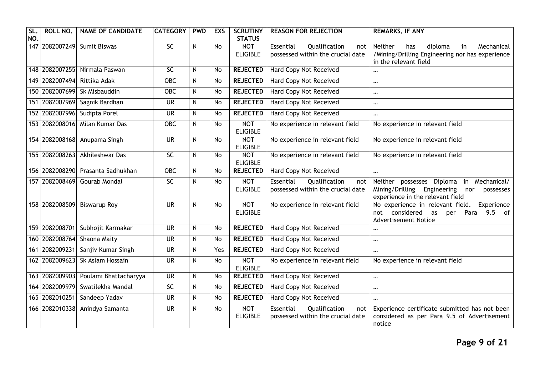| SL.<br>NO. | ROLL NO.       | <b>NAME OF CANDIDATE</b>          | <b>CATEGORY</b>          | <b>PWD</b> | <b>EXS</b> | <b>SCRUTINY</b><br><b>STATUS</b> | <b>REASON FOR REJECTION</b>                                            | <b>REMARKS, IF ANY</b>                                                                                                                   |
|------------|----------------|-----------------------------------|--------------------------|------------|------------|----------------------------------|------------------------------------------------------------------------|------------------------------------------------------------------------------------------------------------------------------------------|
|            |                | 147 2082007249 Sumit Biswas       | SC                       | N          | No         | <b>NOT</b><br><b>ELIGIBLE</b>    | Essential<br>Qualification<br>not<br>possessed within the crucial date | Neither<br>has<br>diploma<br>in<br>Mechanical<br>/Mining/Drilling Engineering nor has experience<br>in the relevant field                |
|            |                | 148 2082007255 Nirmala Paswan     | SC                       | N          | <b>No</b>  | <b>REJECTED</b>                  | <b>Hard Copy Not Received</b>                                          | $\cdots$                                                                                                                                 |
|            | 149 2082007494 | Rittika Adak                      | <b>OBC</b>               | N          | No         | <b>REJECTED</b>                  | Hard Copy Not Received                                                 | $\ddotsc$                                                                                                                                |
|            | 150 2082007699 | Sk Misbauddin                     | <b>OBC</b>               | N          | <b>No</b>  | <b>REJECTED</b>                  | <b>Hard Copy Not Received</b>                                          | $\cdots$                                                                                                                                 |
|            |                | 151 2082007969 Sagnik Bardhan     | <b>UR</b>                | N          | <b>No</b>  | <b>REJECTED</b>                  | <b>Hard Copy Not Received</b>                                          | $\cdots$                                                                                                                                 |
|            | 152 2082007996 | Sudipta Porel                     | <b>UR</b>                | N          | <b>No</b>  | <b>REJECTED</b>                  | Hard Copy Not Received                                                 | $\cdots$                                                                                                                                 |
|            | 153 2082008016 | Milan Kumar Das                   | OBC                      | N          | No         | <b>NOT</b><br><b>ELIGIBLE</b>    | No experience in relevant field                                        | No experience in relevant field                                                                                                          |
|            | 154 2082008168 | Anupama Singh                     | <b>UR</b>                | N          | <b>No</b>  | <b>NOT</b><br><b>ELIGIBLE</b>    | No experience in relevant field                                        | No experience in relevant field                                                                                                          |
|            | 155 2082008263 | Akhileshwar Das                   | SC                       | N          | <b>No</b>  | <b>NOT</b><br><b>ELIGIBLE</b>    | No experience in relevant field                                        | No experience in relevant field                                                                                                          |
|            |                | 156 2082008290 Prasanta Sadhukhan | $\overline{OBC}$         | N          | <b>No</b>  | <b>REJECTED</b>                  | Hard Copy Not Received                                                 | $\ddotsc$                                                                                                                                |
| 157        | 2082008469     | Gourab Mondal                     | <b>SC</b>                | N          | <b>No</b>  | <b>NOT</b><br><b>ELIGIBLE</b>    | Essential<br>Qualification<br>not<br>possessed within the crucial date | in Mechanical/<br>Neither<br>possesses Diploma<br>Mining/Drilling<br>Engineering<br>nor<br>possesses<br>experience in the relevant field |
|            |                | 158 2082008509 Biswarup Roy       | $\overline{\mathsf{UR}}$ | N          | <b>No</b>  | <b>NOT</b><br><b>ELIGIBLE</b>    | No experience in relevant field                                        | No experience in relevant field.<br>Experience<br>9.5<br>considered<br>of<br>not<br>as<br>Para<br>per<br><b>Advertisement Notice</b>     |
|            | 159 2082008701 | Subhojit Karmakar                 | $\overline{\mathsf{UR}}$ | N          | No         | <b>REJECTED</b>                  | <b>Hard Copy Not Received</b>                                          |                                                                                                                                          |
|            | 160 2082008764 | Shaona Maity                      | <b>UR</b>                | N          | No         | <b>REJECTED</b>                  | Hard Copy Not Received                                                 | $\cdots$                                                                                                                                 |
|            | 161 2082009231 | Sanjiv Kumar Singh                | $\overline{\mathsf{UR}}$ | N          | Yes        | <b>REJECTED</b>                  | <b>Hard Copy Not Received</b>                                          | $\cdots$                                                                                                                                 |
|            | 162 2082009623 | Sk Aslam Hossain                  | <b>UR</b>                | N          | <b>No</b>  | <b>NOT</b><br><b>ELIGIBLE</b>    | No experience in relevant field                                        | No experience in relevant field                                                                                                          |
|            | 163 2082009903 | Poulami Bhattacharyya             | $\overline{\mathsf{UR}}$ | N          | <b>No</b>  | <b>REJECTED</b>                  | Hard Copy Not Received                                                 |                                                                                                                                          |
|            | 164 2082009979 | Swatilekha Mandal                 | $\overline{SC}$          | N          | No         | <b>REJECTED</b>                  | <b>Hard Copy Not Received</b>                                          | $\ddotsc$                                                                                                                                |
|            | 165 2082010251 | Sandeep Yadav                     | $\overline{\mathsf{UR}}$ | N          | <b>No</b>  | <b>REJECTED</b>                  | <b>Hard Copy Not Received</b>                                          | $\cdots$                                                                                                                                 |
|            | 166 2082010338 | Anindya Samanta                   | <b>UR</b>                | N          | <b>No</b>  | <b>NOT</b><br><b>ELIGIBLE</b>    | Essential<br>Qualification<br>not<br>possessed within the crucial date | Experience certificate submitted has not been<br>considered as per Para 9.5 of Advertisement<br>notice                                   |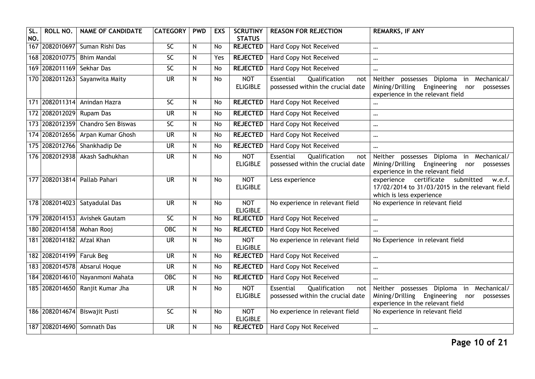| SL<br>NO. | ROLL NO.                  | <b>NAME OF CANDIDATE</b>          | <b>CATEGORY</b>          | <b>PWD</b> | <b>EXS</b> | <b>SCRUTINY</b><br><b>STATUS</b> | <b>REASON FOR REJECTION</b>                                            | <b>REMARKS, IF ANY</b>                                                                                                             |
|-----------|---------------------------|-----------------------------------|--------------------------|------------|------------|----------------------------------|------------------------------------------------------------------------|------------------------------------------------------------------------------------------------------------------------------------|
|           |                           | 167 2082010697 Suman Rishi Das    | 5C                       | N          | No         | <b>REJECTED</b>                  | Hard Copy Not Received                                                 | $\cdots$                                                                                                                           |
|           | 168 2082010775            | <b>Bhim Mandal</b>                | 5C                       | N          | Yes        | <b>REJECTED</b>                  | <b>Hard Copy Not Received</b>                                          | $\ddotsc$                                                                                                                          |
|           | 169 2082011169            | Sekhar Das                        | SC                       | N          | <b>No</b>  | <b>REJECTED</b>                  | Hard Copy Not Received                                                 | $\cdots$                                                                                                                           |
|           |                           | 170 2082011263 Sayanwita Maity    | $\overline{\mathsf{UR}}$ | N          | No         | <b>NOT</b><br><b>ELIGIBLE</b>    | Qualification<br>Essential<br>not<br>possessed within the crucial date | Neither possesses Diploma<br>in Mechanical/<br>Mining/Drilling Engineering<br>nor<br>possesses<br>experience in the relevant field |
|           | 171 2082011314            | Anindan Hazra                     | 5C                       | N          | No         | <b>REJECTED</b>                  | Hard Copy Not Received                                                 | $\ddotsc$                                                                                                                          |
|           | 172 2082012029            | Rupam Das                         | <b>UR</b>                | N          | <b>No</b>  | <b>REJECTED</b>                  | Hard Copy Not Received                                                 | $\cdots$                                                                                                                           |
|           |                           | 173 2082012359 Chandro Sen Biswas | 5C                       | N          | <b>No</b>  | <b>REJECTED</b>                  | <b>Hard Copy Not Received</b>                                          | $\cdots$                                                                                                                           |
|           |                           | 174 2082012656 Arpan Kumar Ghosh  | <b>UR</b>                | N          | No         | <b>REJECTED</b>                  | <b>Hard Copy Not Received</b>                                          | $\cdots$                                                                                                                           |
|           |                           | 175 2082012766 Shankhadip De      | $\overline{\mathsf{UR}}$ | N          | No         | <b>REJECTED</b>                  | Hard Copy Not Received                                                 | $\cdots$                                                                                                                           |
|           |                           | 176 2082012938 Akash Sadhukhan    | <b>UR</b>                | N          | <b>No</b>  | <b>NOT</b><br><b>ELIGIBLE</b>    | Essential<br>Qualification<br>not<br>possessed within the crucial date | Neither possesses Diploma in Mechanical/<br>Mining/Drilling Engineering<br>nor<br>possesses<br>experience in the relevant field    |
|           | 177 2082013814            | Pallab Pahari                     | <b>UR</b>                | N          | <b>No</b>  | <b>NOT</b><br><b>ELIGIBLE</b>    | Less experience                                                        | experience certificate<br>submitted<br>w.e.f.<br>17/02/2014 to 31/03/2015 in the relevant field<br>which is less experience        |
|           |                           | 178 2082014023 Satyadulal Das     | $\overline{\mathsf{UR}}$ | N          | No         | <b>NOT</b><br><b>ELIGIBLE</b>    | No experience in relevant field                                        | No experience in relevant field                                                                                                    |
|           |                           | 179 2082014153 Avishek Gautam     | 5C                       | ${\sf N}$  | <b>No</b>  | <b>REJECTED</b>                  | <b>Hard Copy Not Received</b>                                          | $\cdots$                                                                                                                           |
|           | 180 2082014158 Mohan Rooj |                                   | <b>OBC</b>               | N          | <b>No</b>  | <b>REJECTED</b>                  | Hard Copy Not Received                                                 | $\ddotsc$                                                                                                                          |
|           | 181 2082014182 Afzal Khan |                                   | $\overline{\mathsf{UR}}$ | N          | <b>No</b>  | <b>NOT</b><br><b>ELIGIBLE</b>    | No experience in relevant field                                        | No Experience in relevant field                                                                                                    |
|           | 182 2082014199 Faruk Beg  |                                   | <b>UR</b>                | N          | <b>No</b>  | <b>REJECTED</b>                  | <b>Hard Copy Not Received</b>                                          | $\cdots$                                                                                                                           |
|           | 183 2082014578            | Absarul Hoque                     | <b>UR</b>                | N          | <b>No</b>  | <b>REJECTED</b>                  | Hard Copy Not Received                                                 | $\cdots$                                                                                                                           |
|           |                           | 184 2082014610 Nayanmoni Mahata   | $OE$                     | N          | No         | <b>REJECTED</b>                  | <b>Hard Copy Not Received</b>                                          | $\ddotsc$                                                                                                                          |
|           |                           | 185 2082014650 Ranjit Kumar Jha   | <b>UR</b>                | N          | <b>No</b>  | <b>NOT</b><br><b>ELIGIBLE</b>    | Essential<br>Qualification<br>not<br>possessed within the crucial date | Neither possesses Diploma in Mechanical/<br>Mining/Drilling Engineering<br>nor<br>possesses<br>experience in the relevant field    |
|           | 186 2082014674            | <b>Biswajit Pusti</b>             | $\overline{SC}$          | N          | No         | <b>NOT</b><br><b>ELIGIBLE</b>    | No experience in relevant field                                        | No experience in relevant field                                                                                                    |
|           |                           | 187 2082014690 Somnath Das        | $\overline{\mathsf{UR}}$ | N          | No         | <b>REJECTED</b>                  | <b>Hard Copy Not Received</b>                                          | $\cdots$                                                                                                                           |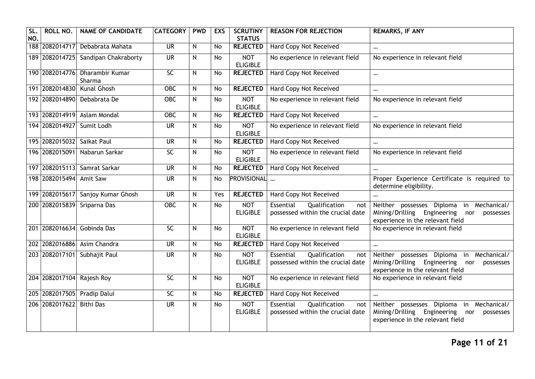| SL.<br>NO. | ROLL NO.                   | <b>NAME OF CANDIDATE</b>                 | <b>CATEGORY</b>          | <b>PWD</b>     | <b>EXS</b> | <b>SCRUTINY</b><br><b>STATUS</b> | <b>REASON FOR REJECTION</b>                                                   | <b>REMARKS, IF ANY</b>                                                                                                                |
|------------|----------------------------|------------------------------------------|--------------------------|----------------|------------|----------------------------------|-------------------------------------------------------------------------------|---------------------------------------------------------------------------------------------------------------------------------------|
|            |                            | 188 2082014717 Debabrata Mahata          | $\overline{\mathsf{UR}}$ | N              | No         | <b>REJECTED</b>                  | <b>Hard Copy Not Received</b>                                                 | $\ddotsc$                                                                                                                             |
|            |                            | 189 2082014725 Sandipan Chakraborty      | $\overline{\mathsf{UR}}$ | N              | No         | <b>NOT</b><br><b>ELIGIBLE</b>    | No experience in relevant field                                               | No experience in relevant field                                                                                                       |
|            |                            | 190 2082014776 Dharambir Kumar<br>Sharma | $\overline{SC}$          | N              | No         | <b>REJECTED</b>                  | <b>Hard Copy Not Received</b>                                                 | $\cdots$                                                                                                                              |
|            | 191 2082014830             | <b>Kunal Ghosh</b>                       | <b>OBC</b>               | $\overline{N}$ | No         | <b>REJECTED</b>                  | Hard Copy Not Received                                                        | $\cdots$                                                                                                                              |
|            |                            | 192 2082014890 Debabrata De              | <b>OBC</b>               | $\overline{N}$ | No         | <b>NOT</b><br><b>ELIGIBLE</b>    | No experience in relevant field                                               | No experience in relevant field                                                                                                       |
|            |                            | 193 2082014919 Aslam Mondal              | <b>OBC</b>               | N              | No         | <b>REJECTED</b>                  | Hard Copy Not Received                                                        | $\cdots$                                                                                                                              |
|            | 194 2082014927             | Sumit Lodh                               | $\overline{\mathsf{UR}}$ | N              | No         | <b>NOT</b><br><b>ELIGIBLE</b>    | No experience in relevant field                                               | No experience in relevant field                                                                                                       |
|            | 195 2082015032 Saikat Paul |                                          | <b>UR</b>                | N              | No         | <b>REJECTED</b>                  | Hard Copy Not Received                                                        | $\ddotsc$                                                                                                                             |
|            | 196 2082015091             | Nabarun Sarkar                           | SC                       | N              | No         | <b>NOT</b><br><b>ELIGIBLE</b>    | No experience in relevant field                                               | No experience in relevant field                                                                                                       |
|            |                            | 197 2082015113 Samrat Sarkar             | $\overline{\mathsf{UR}}$ | N              | No         | <b>REJECTED</b>                  | Hard Copy Not Received                                                        | $\cdots$                                                                                                                              |
|            | 198 2082015494             | <b>Amit Saw</b>                          | <b>UR</b>                | N              | <b>No</b>  | PROVISIONAL                      |                                                                               | Proper Experience Certificate is required to<br>determine eligibility.                                                                |
|            |                            | 199 2082015617 Sanjoy Kumar Ghosh        | <b>UR</b>                | N              | Yes        | <b>REJECTED</b>                  | Hard Copy Not Received                                                        | $\cdots$                                                                                                                              |
|            |                            | 200 2082015839 Sriparna Das              | <b>OBC</b>               | N              | <b>No</b>  | <b>NOT</b><br><b>ELIGIBLE</b>    | <b>Essential</b><br>Qualification<br>not<br>possessed within the crucial date | Neither possesses Diploma in Mechanical/<br>Mining/Drilling Engineering nor<br>possesses<br>experience in the relevant field          |
|            | 201 2082016634             | Gobinda Das                              | <b>SC</b>                | N              | <b>No</b>  | <b>NOT</b><br><b>ELIGIBLE</b>    | No experience in relevant field                                               | No experience in relevant field                                                                                                       |
|            |                            | 202 2082016886 Asim Chandra              | <b>UR</b>                | N              | No         | <b>REJECTED</b>                  | <b>Hard Copy Not Received</b>                                                 | $\cdots$                                                                                                                              |
|            |                            | 203 2082017101 Subhajit Paul             | $\overline{\mathsf{UR}}$ | N              | <b>No</b>  | <b>NOT</b><br><b>ELIGIBLE</b>    | Essential<br>Qualification<br>not<br>possessed within the crucial date        | Neither possesses Diploma<br>in Mechanical/<br>Mining/Drilling Engineering<br>nor<br>possesses<br>experience in the relevant field    |
|            | 204 2082017104 Rajesh Roy  |                                          | $\overline{SC}$          | N              | No         | <b>NOT</b><br><b>ELIGIBLE</b>    | No experience in relevant field                                               | No experience in relevant field                                                                                                       |
|            |                            | 205 2082017505 Pradip Dalui              | $\overline{SC}$          | N              | No         | <b>REJECTED</b>                  | <b>Hard Copy Not Received</b>                                                 | $\ddotsc$                                                                                                                             |
|            | 206 2082017622             | <b>Bithi Das</b>                         | $\overline{\mathsf{UR}}$ | N              | No         | <b>NOT</b><br><b>ELIGIBLE</b>    | Essential<br>Qualification<br>not<br>possessed within the crucial date        | Mechanical/<br>Neither possesses Diploma<br>in<br>Mining/Drilling Engineering<br>nor<br>possesses<br>experience in the relevant field |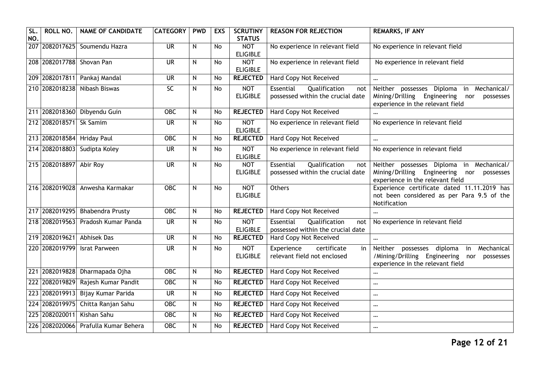| SL<br>NO. | ROLL NO.                  | <b>NAME OF CANDIDATE</b>             | <b>CATEGORY</b>          | <b>PWD</b>     | <b>EXS</b> | <b>SCRUTINY</b><br><b>STATUS</b> | <b>REASON FOR REJECTION</b>                                            | <b>REMARKS, IF ANY</b>                                                                                                          |
|-----------|---------------------------|--------------------------------------|--------------------------|----------------|------------|----------------------------------|------------------------------------------------------------------------|---------------------------------------------------------------------------------------------------------------------------------|
|           |                           | 207 2082017625 Soumendu Hazra        | $\overline{\mathsf{UR}}$ | N              | No         | <b>NOT</b><br><b>ELIGIBLE</b>    | No experience in relevant field                                        | No experience in relevant field                                                                                                 |
|           | 208 2082017788 Shovan Pan |                                      | $\overline{\mathsf{UR}}$ | N              | <b>No</b>  | <b>NOT</b><br><b>ELIGIBLE</b>    | No experience in relevant field                                        | No experience in relevant field                                                                                                 |
|           |                           | 209 2082017811 Pankaj Mandal         | <b>UR</b>                | N              | No         | <b>REJECTED</b>                  | Hard Copy Not Received                                                 | $\cdots$                                                                                                                        |
|           |                           | 210 2082018238 Nibash Biswas         | $\overline{SC}$          | N              | No         | <b>NOT</b><br><b>ELIGIBLE</b>    | Essential<br>Qualification<br>not<br>possessed within the crucial date | Neither possesses Diploma in Mechanical/<br>Mining/Drilling Engineering nor<br>possesses<br>experience in the relevant field    |
|           |                           | 211 2082018360 Dibyendu Guin         | <b>OBC</b>               | N              | No         | <b>REJECTED</b>                  | <b>Hard Copy Not Received</b>                                          |                                                                                                                                 |
|           | 212 2082018571 Sk Samim   |                                      | <b>UR</b>                | N              | No         | <b>NOT</b><br><b>ELIGIBLE</b>    | No experience in relevant field                                        | No experience in relevant field                                                                                                 |
|           |                           | 213 2082018584 Hriday Paul           | <b>OBC</b>               | N              | No         | <b>REJECTED</b>                  | Hard Copy Not Received                                                 | $\ddotsc$                                                                                                                       |
|           |                           | 214 2082018803 Sudipta Koley         | <b>UR</b>                | N              | No         | <b>NOT</b><br><b>ELIGIBLE</b>    | No experience in relevant field                                        | No experience in relevant field                                                                                                 |
|           | 215 2082018897 Abir Roy   |                                      | $\overline{\mathsf{UR}}$ | N              | No         | <b>NOT</b><br><b>ELIGIBLE</b>    | Qualification<br>Essential<br>not<br>possessed within the crucial date | Neither possesses Diploma in Mechanical/<br>Mining/Drilling Engineering nor<br>possesses<br>experience in the relevant field    |
|           |                           | 216 2082019028 Anwesha Karmakar      | <b>OBC</b>               | N              | No         | <b>NOT</b><br><b>ELIGIBLE</b>    | Others                                                                 | Experience certificate dated 11.11.2019 has<br>not been considered as per Para 9.5 of the<br>Notification                       |
|           |                           | 217 2082019295 Bhabendra Prusty      | OBC                      | N              | No         | <b>REJECTED</b>                  | Hard Copy Not Received                                                 | $\ddotsc$                                                                                                                       |
|           |                           | 218 2082019563 Pradosh Kumar Panda   | $\overline{\mathsf{UR}}$ | N              | No         | <b>NOT</b><br><b>ELIGIBLE</b>    | Essential<br>Qualification<br>not<br>possessed within the crucial date | No experience in relevant field                                                                                                 |
|           |                           | 219 2082019621 Abhisek Das           | $\overline{\mathsf{UR}}$ | $\overline{N}$ | No         | <b>REJECTED</b>                  | Hard Copy Not Received                                                 | $\cdots$                                                                                                                        |
|           | 220 2082019799            | <b>Israt Parween</b>                 | <b>UR</b>                | N              | <b>No</b>  | <b>NOT</b><br><b>ELIGIBLE</b>    | certificate<br>Experience<br>in<br>relevant field not enclosed         | Neither possesses diploma in<br>Mechanical<br>/Mining/Drilling Engineering nor<br>possesses<br>experience in the relevant field |
|           |                           | 221 2082019828 Dharmapada Ojha       | <b>OBC</b>               | N              | <b>No</b>  | <b>REJECTED</b>                  | Hard Copy Not Received                                                 | $\cdots$                                                                                                                        |
|           |                           | 222 2082019829 Rajesh Kumar Pandit   | <b>OBC</b>               | N              | No         | <b>REJECTED</b>                  | Hard Copy Not Received                                                 | $\cdots$                                                                                                                        |
|           |                           | 223 2082019913 Bijay Kumar Parida    | <b>UR</b>                | N              | No         | <b>REJECTED</b>                  | Hard Copy Not Received                                                 | $\cdots$                                                                                                                        |
|           |                           | 224 2082019975 Chitta Ranjan Sahu    | <b>OBC</b>               | N              | <b>No</b>  | <b>REJECTED</b>                  | Hard Copy Not Received                                                 | $\cdots$                                                                                                                        |
|           | 225 2082020011            | Kishan Sahu                          | <b>OBC</b>               | N              | No         | <b>REJECTED</b>                  | Hard Copy Not Received                                                 | $\cdots$                                                                                                                        |
|           |                           | 226 2082020066 Prafulla Kumar Behera | <b>OBC</b>               | N              | <b>No</b>  | <b>REJECTED</b>                  | Hard Copy Not Received                                                 | $\cdots$                                                                                                                        |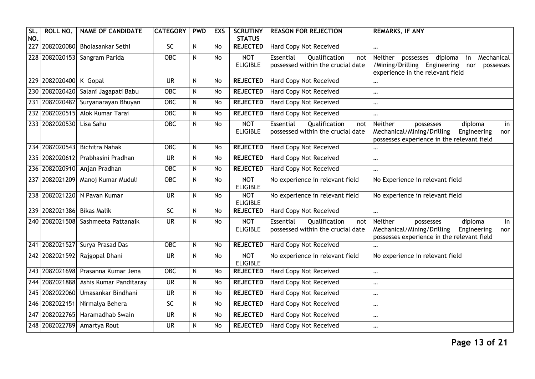| SL.<br>NO. | ROLL NO.                   | <b>NAME OF CANDIDATE</b>            | <b>CATEGORY</b>          | <b>PWD</b>     | <b>EXS</b>     | <b>SCRUTINY</b><br><b>STATUS</b> | <b>REASON FOR REJECTION</b>                                            | <b>REMARKS, IF ANY</b>                                                                                                                      |
|------------|----------------------------|-------------------------------------|--------------------------|----------------|----------------|----------------------------------|------------------------------------------------------------------------|---------------------------------------------------------------------------------------------------------------------------------------------|
|            | 227 2082020080             | Bholasankar Sethi                   | SC                       | N              | <b>No</b>      | <b>REJECTED</b>                  | <b>Hard Copy Not Received</b>                                          | $\cdots$                                                                                                                                    |
|            |                            | 228 2082020153 Sangram Parida       | $OE$                     | $\overline{N}$ | $\overline{N}$ | <b>NOT</b><br><b>ELIGIBLE</b>    | Essential<br>Qualification<br>not<br>possessed within the crucial date | Neither<br>diploma<br>Mechanical<br>possesses<br>in<br>/Mining/Drilling Engineering<br>nor<br>possesses<br>experience in the relevant field |
|            | 229 2082020400 K Gopal     |                                     | <b>UR</b>                | N              | No             | <b>REJECTED</b>                  | Hard Copy Not Received                                                 |                                                                                                                                             |
|            |                            | 230 2082020420 Salani Jagapati Babu | <b>OBC</b>               | $\mathsf{N}$   | <b>No</b>      | <b>REJECTED</b>                  | <b>Hard Copy Not Received</b>                                          | $\cdots$                                                                                                                                    |
|            |                            | 231 2082020482 Suryanarayan Bhuyan  | <b>OBC</b>               | N              | <b>No</b>      | <b>REJECTED</b>                  | <b>Hard Copy Not Received</b>                                          | $\cdots$                                                                                                                                    |
|            |                            | 232 2082020515 Alok Kumar Tarai     | <b>OBC</b>               | N              | <b>No</b>      | <b>REJECTED</b>                  | Hard Copy Not Received                                                 | $\cdots$                                                                                                                                    |
|            | 233 2082020530 Lisa Sahu   |                                     | $OE$                     | $\mathsf{N}$   | <b>No</b>      | <b>NOT</b><br><b>ELIGIBLE</b>    | Essential<br>Qualification<br>not<br>possessed within the crucial date | Neither<br>diploma<br>in<br>possesses<br>Mechanical/Mining/Drilling<br>Engineering<br>nor<br>possesses experience in the relevant field     |
|            | 234 2082020543             | <b>Bichitra Nahak</b>               | <b>OBC</b>               | ${\sf N}$      | <b>No</b>      | <b>REJECTED</b>                  | Hard Copy Not Received                                                 | $\cdots$                                                                                                                                    |
|            | 235 2082020612             | Prabhasini Pradhan                  | <b>UR</b>                | ${\sf N}$      | No             | <b>REJECTED</b>                  | Hard Copy Not Received                                                 | $\cdots$                                                                                                                                    |
|            |                            | 236 2082020910 Anjan Pradhan        | $OE$                     | N              | <b>No</b>      | <b>REJECTED</b>                  | <b>Hard Copy Not Received</b>                                          | $\cdots$                                                                                                                                    |
|            |                            | 237 2082021209 Manoj Kumar Muduli   | <b>OBC</b>               | N              | <b>No</b>      | <b>NOT</b><br><b>ELIGIBLE</b>    | No experience in relevant field                                        | No Experience in relevant field                                                                                                             |
|            |                            | 238 2082021220 N Pavan Kumar        | <b>UR</b>                | N              | No             | <b>NOT</b><br><b>ELIGIBLE</b>    | No experience in relevant field                                        | No experience in relevant field                                                                                                             |
|            | 239 2082021386 Bikas Malik |                                     | $\overline{SC}$          | $\mathsf{N}$   | No             | <b>REJECTED</b>                  | <b>Hard Copy Not Received</b>                                          | $\cdots$                                                                                                                                    |
|            |                            | 240 2082021508 Sashmeeta Pattanaik  | <b>UR</b>                | ${\sf N}$      | <b>No</b>      | <b>NOT</b><br><b>ELIGIBLE</b>    | Essential<br>Qualification<br>not<br>possessed within the crucial date | Neither<br>diploma<br>in<br>possesses<br>Mechanical/Mining/Drilling<br>Engineering<br>nor<br>possesses experience in the relevant field     |
|            |                            | 241 2082021527 Surya Prasad Das     | $OE$                     | N              | <b>No</b>      | <b>REJECTED</b>                  | <b>Hard Copy Not Received</b>                                          | $\ddotsc$                                                                                                                                   |
|            | 242 2082021592             | Rajgopal Dhani                      | $\overline{\mathsf{UR}}$ | N              | <b>No</b>      | <b>NOT</b><br><b>ELIGIBLE</b>    | No experience in relevant field                                        | No experience in relevant field                                                                                                             |
|            |                            | 243 2082021698 Prasanna Kumar Jena  | <b>OBC</b>               | N              | <b>No</b>      | <b>REJECTED</b>                  | Hard Copy Not Received                                                 | $\ddotsc$                                                                                                                                   |
|            | 244 2082021888             | Ashis Kumar Panditaray              | $\overline{\mathsf{UR}}$ | ${\sf N}$      | <b>No</b>      | <b>REJECTED</b>                  | Hard Copy Not Received                                                 | $\cdots$                                                                                                                                    |
|            | 245 2082022060             | Umasankar Bindhani                  | <b>UR</b>                | N              | No             | <b>REJECTED</b>                  | Hard Copy Not Received                                                 | $\cdots$                                                                                                                                    |
|            | 246 2082022151             | Nirmalya Behera                     | <b>SC</b>                | N              | No             | <b>REJECTED</b>                  | Hard Copy Not Received                                                 | $\cdots$                                                                                                                                    |
| 247        | 2082022765                 | Haramadhab Swain                    | <b>UR</b>                | N              | <b>No</b>      | <b>REJECTED</b>                  | Hard Copy Not Received                                                 | $\cdots$                                                                                                                                    |
|            |                            | 248 2082022789 Amartya Rout         | <b>UR</b>                | N              | <b>No</b>      | <b>REJECTED</b>                  | Hard Copy Not Received                                                 | $\cdots$                                                                                                                                    |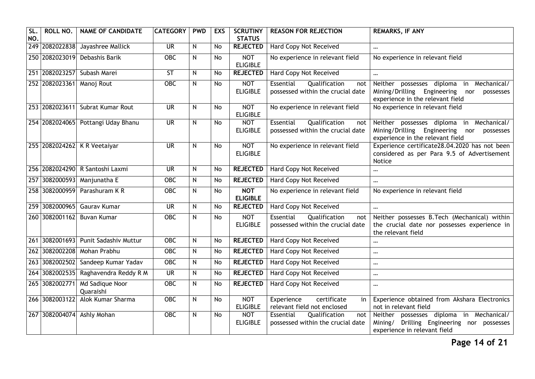| SL<br>NO. | ROLL NO.                  | <b>NAME OF CANDIDATE</b>           | <b>CATEGORY</b>          | <b>PWD</b> | <b>EXS</b> | <b>SCRUTINY</b><br><b>STATUS</b> | <b>REASON FOR REJECTION</b>                                            | <b>REMARKS, IF ANY</b>                                                                                                             |
|-----------|---------------------------|------------------------------------|--------------------------|------------|------------|----------------------------------|------------------------------------------------------------------------|------------------------------------------------------------------------------------------------------------------------------------|
|           | 249 2082022838            | Jayashree Mallick                  | $\overline{\mathsf{UR}}$ | N          | <b>No</b>  | <b>REJECTED</b>                  | Hard Copy Not Received                                                 | $\cdots$                                                                                                                           |
|           | 250 2082023019            | Debashis Barik                     | <b>OBC</b>               | N          | <b>No</b>  | <b>NOT</b><br><b>ELIGIBLE</b>    | No experience in relevant field                                        | No experience in relevant field                                                                                                    |
|           |                           | 251 2082023257 Subash Marei        | <b>ST</b>                | N          | <b>No</b>  | <b>REJECTED</b>                  | Hard Copy Not Received                                                 |                                                                                                                                    |
|           | 252 2082023361 Manoj Rout |                                    | <b>OBC</b>               | N          | No         | <b>NOT</b><br><b>ELIGIBLE</b>    | Essential<br>Qualification<br>not<br>possessed within the crucial date | Neither possesses diploma in Mechanical/<br>Mining/Drilling Engineering<br>nor<br>possesses<br>experience in the relevant field    |
|           |                           | 253 2082023611 Subrat Kumar Rout   | $\overline{\mathsf{UR}}$ | N          | <b>No</b>  | <b>NOT</b><br><b>ELIGIBLE</b>    | No experience in relevant field                                        | No experience in relevant field                                                                                                    |
|           |                           | 254 2082024065 Pottangi Uday Bhanu | <b>UR</b>                | N          | No         | <b>NOT</b><br><b>ELIGIBLE</b>    | Essential<br>Qualification<br>not<br>possessed within the crucial date | Neither possesses diploma in Mechanical/<br>Mining/Drilling<br>Engineering<br>nor<br>possesses<br>experience in the relevant field |
|           |                           | 255 2082024262 K R Veetaiyar       | $\overline{\mathsf{UR}}$ | N          | <b>No</b>  | <b>NOT</b><br><b>ELIGIBLE</b>    | No experience in relevant field                                        | Experience certificate28.04.2020 has not been<br>considered as per Para 9.5 of Advertisement<br>Notice                             |
|           |                           | 256 2082024290 R Santoshi Laxmi    | $\overline{\mathsf{UR}}$ | N          | <b>No</b>  | <b>REJECTED</b>                  | <b>Hard Copy Not Received</b>                                          | $\cdots$                                                                                                                           |
| 257       |                           | 3082000593 Manjunatha E            | OBC                      | N          | <b>No</b>  | <b>REJECTED</b>                  | Hard Copy Not Received                                                 | $\cdots$                                                                                                                           |
|           |                           | 258 3082000959 Parashuram K R      | <b>OBC</b>               | N          | <b>No</b>  | <b>NOT</b><br><b>ELIGIBLE</b>    | No experience in relevant field                                        | No experience in relevant field                                                                                                    |
|           |                           | 259 3082000965 Gaurav Kumar        | <b>UR</b>                | N          | <b>No</b>  | <b>REJECTED</b>                  | Hard Copy Not Received                                                 | $\cdots$                                                                                                                           |
|           |                           | 260 3082001162 Buvan Kumar         | <b>OBC</b>               | N          | No         | <b>NOT</b><br><b>ELIGIBLE</b>    | Essential<br>Qualification<br>not<br>possessed within the crucial date | Neither possesses B.Tech (Mechanical) within<br>the crucial date nor possesses experience in<br>the relevant field                 |
|           | 261 3082001693            | Punit Sadashiv Muttur              | <b>OBC</b>               | N          | No         | <b>REJECTED</b>                  | <b>Hard Copy Not Received</b>                                          | $\cdots$                                                                                                                           |
|           | 262 3082002208            | Mohan Prabhu                       | <b>OBC</b>               | N          | <b>No</b>  | <b>REJECTED</b>                  | Hard Copy Not Received                                                 | $\cdots$                                                                                                                           |
|           |                           | 263 3082002502 Sandeep Kumar Yadav | <b>OBC</b>               | N          | <b>No</b>  | <b>REJECTED</b>                  | Hard Copy Not Received                                                 | $\ddotsc$                                                                                                                          |
|           | 264 3082002535            | Raghavendra Reddy R M              | $\overline{\mathsf{UR}}$ | N          | <b>No</b>  | <b>REJECTED</b>                  | Hard Copy Not Received                                                 | $\cdots$                                                                                                                           |
|           | 265 3082002771            | Md Sadique Noor<br>Quaraishi       | OBC                      | N          | No         | <b>REJECTED</b>                  | Hard Copy Not Received                                                 | $\cdots$                                                                                                                           |
|           | 266 3082003122            | Alok Kumar Sharma                  | $OE$                     | N          | <b>No</b>  | <b>NOT</b><br><b>ELIGIBLE</b>    | Experience<br>certificate<br>in<br>relevant field not enclosed         | Experience obtained from Akshara Electronics<br>not in relevant field                                                              |
|           |                           | 267 3082004074 Ashly Mohan         | <b>OBC</b>               | N          | <b>No</b>  | <b>NOT</b><br><b>ELIGIBLE</b>    | Essential<br>Qualification<br>not<br>possessed within the crucial date | Neither possesses diploma in Mechanical/<br>Drilling Engineering nor possesses<br>Mining/<br>experience in relevant field          |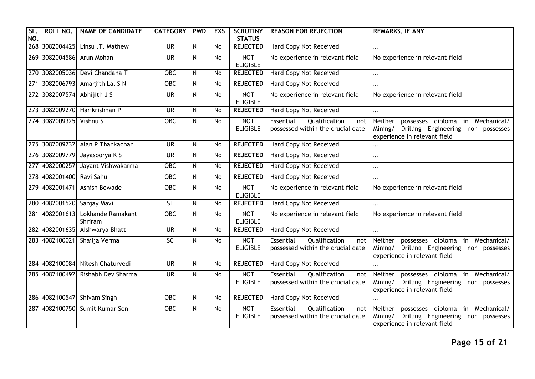| SL.<br>NO. | ROLL NO.                    | <b>NAME OF CANDIDATE</b>         | <b>CATEGORY</b>          | <b>PWD</b>   | <b>EXS</b> | <b>SCRUTINY</b><br><b>STATUS</b> | <b>REASON FOR REJECTION</b>                                            | <b>REMARKS, IF ANY</b>                                                                                                             |
|------------|-----------------------------|----------------------------------|--------------------------|--------------|------------|----------------------------------|------------------------------------------------------------------------|------------------------------------------------------------------------------------------------------------------------------------|
|            |                             | 268 3082004425 Linsu .T. Mathew  | $\overline{\mathsf{UR}}$ | N            | No         | <b>REJECTED</b>                  | <b>Hard Copy Not Received</b>                                          | $\cdots$                                                                                                                           |
|            | 269 3082004586 Arun Mohan   |                                  | $\overline{\mathsf{UR}}$ | $\mathsf{N}$ | <b>No</b>  | <b>NOT</b><br><b>ELIGIBLE</b>    | No experience in relevant field                                        | No experience in relevant field                                                                                                    |
|            |                             | 270 3082005036 Devi Chandana T   | <b>OBC</b>               | ${\sf N}$    | No         | <b>REJECTED</b>                  | Hard Copy Not Received                                                 | $\cdots$                                                                                                                           |
|            |                             | 271 3082006793 Amarjith Lal S N  | <b>OBC</b>               | N            | <b>No</b>  | <b>REJECTED</b>                  | <b>Hard Copy Not Received</b>                                          | $\cdots$                                                                                                                           |
|            | 272 3082007574 Abhijith J S |                                  | $\overline{\mathsf{UR}}$ | $\mathsf{N}$ | <b>No</b>  | <b>NOT</b><br><b>ELIGIBLE</b>    | No experience in relevant field                                        | No experience in relevant field                                                                                                    |
|            |                             | 273 3082009270 Harikrishnan P    | <b>UR</b>                | $\mathsf{N}$ | <b>No</b>  | <b>REJECTED</b>                  | Hard Copy Not Received                                                 | $\cdots$                                                                                                                           |
|            | 274 3082009325 Vishnu S     |                                  | $OE$                     | N            | <b>No</b>  | <b>NOT</b><br><b>ELIGIBLE</b>    | Essential<br>Qualification<br>not<br>possessed within the crucial date | possesses diploma<br>in Mechanical/<br>Neither<br>Mining/<br>Drilling Engineering nor possesses<br>experience in relevant field    |
|            |                             | 275 3082009732 Alan P Thankachan | $\overline{\mathsf{UR}}$ | ${\sf N}$    | <b>No</b>  | <b>REJECTED</b>                  | <b>Hard Copy Not Received</b>                                          | $\cdots$                                                                                                                           |
|            |                             | 276 3082009779 Jayasoorya K S    | $\overline{\mathsf{UR}}$ | N            | No         | <b>REJECTED</b>                  | <b>Hard Copy Not Received</b>                                          | $\ddotsc$                                                                                                                          |
| 277        | 4082000257                  | Jayant Vishwakarma               | $OE$                     | ${\sf N}$    | <b>No</b>  | <b>REJECTED</b>                  | <b>Hard Copy Not Received</b>                                          | $\cdots$                                                                                                                           |
|            | 278 4082001400 Ravi Sahu    |                                  | $OE$                     | N            | <b>No</b>  | <b>REJECTED</b>                  | Hard Copy Not Received                                                 | $\cdots$                                                                                                                           |
|            | 279 4082001471              | Ashish Bowade                    | <b>OBC</b>               | $\mathsf{N}$ | <b>No</b>  | <b>NOT</b><br><b>ELIGIBLE</b>    | No experience in relevant field                                        | No experience in relevant field                                                                                                    |
|            |                             | 280 4082001520 Sanjay Mavi       | $\overline{\mathsf{ST}}$ | $\mathsf{N}$ | <b>No</b>  | <b>REJECTED</b>                  | <b>Hard Copy Not Received</b>                                          | $\cdots$                                                                                                                           |
|            | 281 4082001613              | Lokhande Ramakant<br>Shriram     | <b>OBC</b>               | $\mathsf{N}$ | <b>No</b>  | <b>NOT</b><br><b>ELIGIBLE</b>    | No experience in relevant field                                        | No experience in relevant field                                                                                                    |
|            | 282 4082001635              | Aishwarya Bhatt                  | <b>UR</b>                | N            | No         | <b>REJECTED</b>                  | Hard Copy Not Received                                                 | $\ddotsc$                                                                                                                          |
|            | 283 4082100021              | Shailja Verma                    | $\overline{SC}$          | $\mathsf{N}$ | <b>No</b>  | <b>NOT</b><br><b>ELIGIBLE</b>    | Essential<br>Qualification<br>not<br>possessed within the crucial date | possesses diploma<br>in Mechanical/<br>Neither<br>Mining/ Drilling Engineering nor possesses<br>experience in relevant field       |
|            | 284 4082100084              | Nitesh Chaturvedi                | <b>UR</b>                | ${\sf N}$    | <b>No</b>  | <b>REJECTED</b>                  | Hard Copy Not Received                                                 | $\cdots$                                                                                                                           |
|            | 285 4082100492              | Rishabh Dev Sharma               | <b>UR</b>                | N            | <b>No</b>  | <b>NOT</b><br><b>ELIGIBLE</b>    | Essential<br>Qualification<br>not<br>possessed within the crucial date | possesses diploma<br>in Mechanical/<br>Neither<br>Mining/<br>Drilling Engineering nor possesses<br>experience in relevant field    |
|            |                             | 286 4082100547 Shivam Singh      | <b>OBC</b>               | N            | <b>No</b>  | <b>REJECTED</b>                  | <b>Hard Copy Not Received</b>                                          |                                                                                                                                    |
|            |                             | 287 4082100750 Sumit Kumar Sen   | <b>OBC</b>               | ${\sf N}$    | <b>No</b>  | <b>NOT</b><br><b>ELIGIBLE</b>    | Essential<br>Qualification<br>not<br>possessed within the crucial date | possesses diploma<br>in Mechanical/<br>Neither<br>Drilling Engineering nor<br>Mining/<br>possesses<br>experience in relevant field |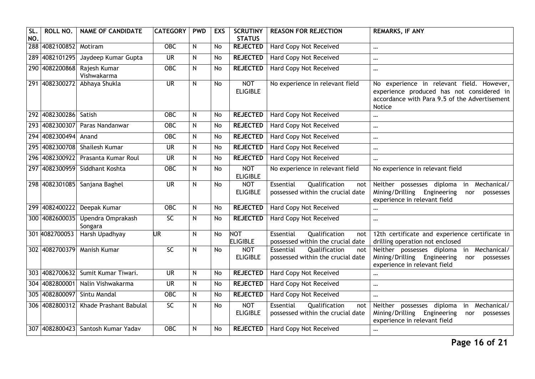| SL<br>NO. | ROLL NO.               | <b>NAME OF CANDIDATE</b>           | <b>CATEGORY</b>          | <b>PWD</b> | <b>EXS</b> | <b>SCRUTINY</b><br><b>STATUS</b> | <b>REASON FOR REJECTION</b>                                            | <b>REMARKS, IF ANY</b>                                                                                                                            |
|-----------|------------------------|------------------------------------|--------------------------|------------|------------|----------------------------------|------------------------------------------------------------------------|---------------------------------------------------------------------------------------------------------------------------------------------------|
|           | 288 4082100852 Motiram |                                    | <b>OBC</b>               | N          | <b>No</b>  | <b>REJECTED</b>                  | <b>Hard Copy Not Received</b>                                          | $\cdots$                                                                                                                                          |
|           | 289 4082101295         | Jaydeep Kumar Gupta                | $\overline{\mathsf{UR}}$ | N          | No         | <b>REJECTED</b>                  | <b>Hard Copy Not Received</b>                                          | $\cdots$                                                                                                                                          |
|           | 290 4082200868         | Rajesh Kumar<br>Vishwakarma        | OBC                      | N          | <b>No</b>  | <b>REJECTED</b>                  | Hard Copy Not Received                                                 | $\cdots$                                                                                                                                          |
|           | 291 4082300272         | Abhaya Shukla                      | $\overline{\mathsf{UR}}$ | N          | No         | <b>NOT</b><br><b>ELIGIBLE</b>    | No experience in relevant field                                        | No experience in relevant field. However,<br>experience produced has not considered in<br>accordance with Para 9.5 of the Advertisement<br>Notice |
|           | 292 4082300286         | Satish                             | <b>OBC</b>               | N          | No         | <b>REJECTED</b>                  | Hard Copy Not Received                                                 | $\cdots$                                                                                                                                          |
|           |                        | 293 4082300307 Paras Nandanwar     | <b>OBC</b>               | N          | <b>No</b>  | <b>REJECTED</b>                  | Hard Copy Not Received                                                 | $\cdots$                                                                                                                                          |
|           | 294 4082300494         | Anand                              | <b>OBC</b>               | N          | No         | <b>REJECTED</b>                  | <b>Hard Copy Not Received</b>                                          | $\cdots$                                                                                                                                          |
|           | 295 4082300708         | Shailesh Kumar                     | <b>UR</b>                | N          | <b>No</b>  | <b>REJECTED</b>                  | Hard Copy Not Received                                                 | $\cdots$                                                                                                                                          |
|           | 296 4082300922         | Prasanta Kumar Roul                | <b>UR</b>                | N          | <b>No</b>  | <b>REJECTED</b>                  | Hard Copy Not Received                                                 | $\cdots$                                                                                                                                          |
|           | 297 4082300959         | Siddhant Koshta                    | <b>OBC</b>               | N          | No         | <b>NOT</b><br><b>ELIGIBLE</b>    | No experience in relevant field                                        | No experience in relevant field                                                                                                                   |
|           | 298 4082301085         | Sanjana Baghel                     | <b>UR</b>                | N          | <b>No</b>  | <b>NOT</b><br><b>ELIGIBLE</b>    | Essential<br>Qualification<br>not<br>possessed within the crucial date | Neither possesses diploma<br>Mechanical/<br>in<br>Mining/Drilling Engineering<br>nor<br>possesses<br>experience in relevant field                 |
|           | 299 4082400222         | Deepak Kumar                       | $\overline{OBC}$         | N          | No         | <b>REJECTED</b>                  | Hard Copy Not Received                                                 | $\cdots$                                                                                                                                          |
|           | 300 4082600035         | Upendra Omprakash<br>Songara       | $\overline{SC}$          | N          | No         | <b>REJECTED</b>                  | Hard Copy Not Received                                                 | $\cdots$                                                                                                                                          |
|           | 301 4082700053         | Harsh Upadhyay                     | UR                       | N          | No         | <b>NOT</b><br><b>ELIGIBLE</b>    | Qualification<br>Essential<br>not<br>possessed within the crucial date | 12th certificate and experience certificate in<br>drilling operation not enclosed                                                                 |
|           | 302 4082700379         | <b>Manish Kumar</b>                | $\overline{SC}$          | N          | <b>No</b>  | <b>NOT</b><br><b>ELIGIBLE</b>    | Qualification<br>Essential<br>not<br>possessed within the crucial date | Neither possesses diploma in Mechanical/<br>Mining/Drilling Engineering<br>nor<br>possesses<br>experience in relevant field                       |
|           | 303 4082700632         | Sumit Kumar Tiwari.                | $\overline{\mathsf{UR}}$ | N          | <b>No</b>  | <b>REJECTED</b>                  | Hard Copy Not Received                                                 | $\cdots$                                                                                                                                          |
| 304       | 4082800001             | Nalin Vishwakarma                  | <b>UR</b>                | N          | No         | <b>REJECTED</b>                  | Hard Copy Not Received                                                 | $\cdots$                                                                                                                                          |
|           |                        | 305 4082800097 Sintu Mandal        | $\overline{OBC}$         | N          | No         | <b>REJECTED</b>                  | Hard Copy Not Received                                                 | $\ddotsc$                                                                                                                                         |
|           | 306 4082800312         | Khade Prashant Babulal             | $\overline{SC}$          | N          | No         | <b>NOT</b><br><b>ELIGIBLE</b>    | Essential<br>Qualification<br>not<br>possessed within the crucial date | in Mechanical/<br>Neither possesses diploma<br>Mining/Drilling Engineering<br>nor<br>possesses<br>experience in relevant field                    |
|           |                        | 307 4082800423 Santosh Kumar Yadav | <b>OBC</b>               | N          | <b>No</b>  | <b>REJECTED</b>                  | Hard Copy Not Received                                                 | $\cdots$                                                                                                                                          |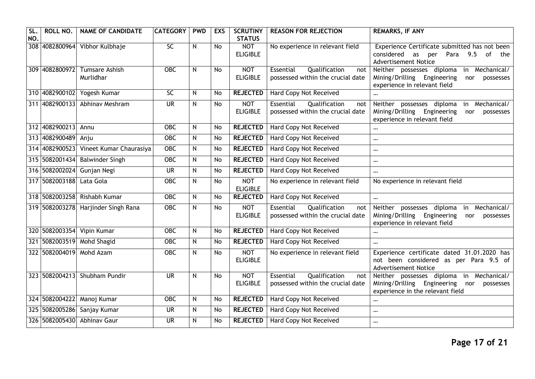| SL.<br>NO. | ROLL NO.            | <b>NAME OF CANDIDATE</b>               | <b>CATEGORY</b>          | <b>PWD</b> | <b>EXS</b> | <b>SCRUTINY</b><br><b>STATUS</b> | <b>REASON FOR REJECTION</b>                                            | <b>REMARKS, IF ANY</b>                                                                                                            |
|------------|---------------------|----------------------------------------|--------------------------|------------|------------|----------------------------------|------------------------------------------------------------------------|-----------------------------------------------------------------------------------------------------------------------------------|
|            | 308 4082800964      | Vibhor Kulbhaje                        | $\overline{SC}$          | N          | <b>No</b>  | <b>NOT</b><br><b>ELIGIBLE</b>    | No experience in relevant field                                        | Experience Certificate submitted has not been<br>considered<br>9.5 of<br>as<br>Para<br>per<br>the<br><b>Advertisement Notice</b>  |
|            | 309 4082800972      | <b>Tumsare Ashish</b><br>Murlidhar     | OBC                      | N          | <b>No</b>  | <b>NOT</b><br><b>ELIGIBLE</b>    | Qualification<br>Essential<br>not<br>possessed within the crucial date | in Mechanical/<br>Neither possesses diploma<br>Mining/Drilling Engineering<br>nor<br>possesses<br>experience in relevant field    |
|            |                     | 310 4082900102 Yogesh Kumar            | $\overline{SC}$          | N          | <b>No</b>  | <b>REJECTED</b>                  | Hard Copy Not Received                                                 | $\ddotsc$                                                                                                                         |
|            | 311 4082900133      | Abhinav Meshram                        | $\overline{\mathsf{UR}}$ | N          | No         | <b>NOT</b><br><b>ELIGIBLE</b>    | Essential<br>Qualification<br>not<br>possessed within the crucial date | in Mechanical/<br>Neither possesses diploma<br>Mining/Drilling<br>Engineering<br>nor<br>possesses<br>experience in relevant field |
|            | 312 4082900213      | Annu                                   | $OE$                     | N          | No         | <b>REJECTED</b>                  | <b>Hard Copy Not Received</b>                                          | $\cdots$                                                                                                                          |
|            | 313 4082900489 Anju |                                        | <b>OBC</b>               | N          | No         | <b>REJECTED</b>                  | Hard Copy Not Received                                                 | $\cdots$                                                                                                                          |
|            |                     | 314 4082900523 Vineet Kumar Chaurasiya | $\overline{OBC}$         | N          | <b>No</b>  | <b>REJECTED</b>                  | <b>Hard Copy Not Received</b>                                          | $\cdots$                                                                                                                          |
|            |                     | 315 5082001434 Balwinder Singh         | $OE$                     | N          | No         | <b>REJECTED</b>                  | Hard Copy Not Received                                                 | $\cdots$                                                                                                                          |
|            |                     | 316 5082002024 Gunjan Negi             | <b>UR</b>                | N          | No         | <b>REJECTED</b>                  | Hard Copy Not Received                                                 | $\cdots$                                                                                                                          |
|            | 317 5082003188      | Lata Gola                              | <b>OBC</b>               | N          | No         | <b>NOT</b><br><b>ELIGIBLE</b>    | No experience in relevant field                                        | No experience in relevant field                                                                                                   |
|            |                     | 318 5082003258 Rishabh Kumar           | <b>OBC</b>               | N          | <b>No</b>  | <b>REJECTED</b>                  | Hard Copy Not Received                                                 | $\ddotsc$                                                                                                                         |
|            |                     | 319 5082003278 Harjinder Singh Rana    | OBC                      | N          | No         | <b>NOT</b><br><b>ELIGIBLE</b>    | Qualification<br>Essential<br>not<br>possessed within the crucial date | Neither possesses diploma<br>in Mechanical/<br>Mining/Drilling<br>Engineering<br>nor<br>possesses<br>experience in relevant field |
|            |                     | 320 5082003354 Vipin Kumar             | $\overline{OBC}$         | N          | No         | <b>REJECTED</b>                  | Hard Copy Not Received                                                 | $\cdots$                                                                                                                          |
|            |                     | 321 5082003519 Mohd Shagid             | <b>OBC</b>               | N          | <b>No</b>  | <b>REJECTED</b>                  | Hard Copy Not Received                                                 | $\cdots$                                                                                                                          |
|            | 322 5082004019      | Mohd Azam                              | <b>OBC</b>               | N          | No         | <b>NOT</b><br><b>ELIGIBLE</b>    | No experience in relevant field                                        | Experience certificate dated 31.01.2020 has<br>not been considered as per Para 9.5 of<br><b>Advertisement Notice</b>              |
|            |                     | 323 5082004213 Shubham Pundir          | <b>UR</b>                | N          | <b>No</b>  | <b>NOT</b><br><b>ELIGIBLE</b>    | Qualification<br>Essential<br>not<br>possessed within the crucial date | Neither possesses diploma in Mechanical/<br>Mining/Drilling Engineering<br>nor<br>possesses<br>experience in the relevant field   |
|            |                     | 324 5082004222 Manoj Kumar             | <b>OBC</b>               | N          | No         | <b>REJECTED</b>                  | Hard Copy Not Received                                                 | $\cdots$                                                                                                                          |
|            |                     | 325 5082005286 Sanjay Kumar            | <b>UR</b>                | N          | No         | <b>REJECTED</b>                  | <b>Hard Copy Not Received</b>                                          | $\cdots$                                                                                                                          |
|            |                     | 326 5082005430 Abhinav Gaur            | $\overline{\mathsf{UR}}$ | N          | No         | <b>REJECTED</b>                  | <b>Hard Copy Not Received</b>                                          | $\cdots$                                                                                                                          |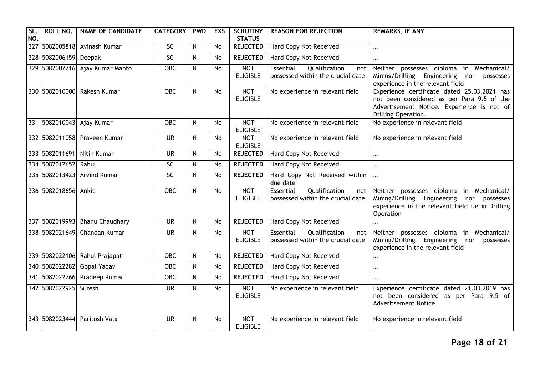| SL.<br>NO. | ROLL NO.                  | <b>NAME OF CANDIDATE</b>        | <b>CATEGORY</b>          | <b>PWD</b> | <b>EXS</b> | <b>SCRUTINY</b><br><b>STATUS</b> | <b>REASON FOR REJECTION</b>                                            | <b>REMARKS, IF ANY</b>                                                                                                                                         |
|------------|---------------------------|---------------------------------|--------------------------|------------|------------|----------------------------------|------------------------------------------------------------------------|----------------------------------------------------------------------------------------------------------------------------------------------------------------|
|            |                           | 327 5082005818 Avinash Kumar    | 5C                       | N          | No         | <b>REJECTED</b>                  | <b>Hard Copy Not Received</b>                                          | $\cdots$                                                                                                                                                       |
|            | 328 5082006159 Deepak     |                                 | SC                       | N          | <b>No</b>  | <b>REJECTED</b>                  | <b>Hard Copy Not Received</b>                                          | $\cdots$                                                                                                                                                       |
|            |                           | 329 5082007716 Ajay Kumar Mahto | <b>OBC</b>               | N          | <b>No</b>  | <b>NOT</b><br><b>ELIGIBLE</b>    | Essential<br>Qualification<br>not<br>possessed within the crucial date | possesses diploma<br>in Mechanical/<br>Neither<br>Mining/Drilling<br>Engineering<br>nor<br>possesses<br>experience in the relevant field                       |
|            |                           | 330 5082010000 Rakesh Kumar     | ORC                      | N          | <b>No</b>  | <b>NOT</b><br><b>ELIGIBLE</b>    | No experience in relevant field                                        | Experience certificate dated 25.03.2021 has<br>not been considered as per Para 9.5 of the<br>Advertisement Notice. Experience is not of<br>Drilling Operation. |
|            | 331 5082010043 Ajay Kumar |                                 | <b>OBC</b>               | N          | <b>No</b>  | <b>NOT</b><br><b>ELIGIBLE</b>    | No experience in relevant field                                        | No experience in relevant field                                                                                                                                |
|            |                           | 332 5082011058 Praveen Kumar    | <b>UR</b>                | N          | No         | <b>NOT</b><br><b>ELIGIBLE</b>    | No experience in relevant field                                        | No experience in relevant field                                                                                                                                |
|            |                           | 333 5082011691 Nitin Kumar      | <b>UR</b>                | N          | No         | <b>REJECTED</b>                  | <b>Hard Copy Not Received</b>                                          | $\cdots$                                                                                                                                                       |
|            | 334 5082012652 Rahul      |                                 | $\overline{SC}$          | N          | <b>No</b>  | <b>REJECTED</b>                  | Hard Copy Not Received                                                 | $\ddotsc$                                                                                                                                                      |
|            | 335 5082013423            | <b>Arvind Kumar</b>             | SC                       | N          | No         | <b>REJECTED</b>                  | Hard Copy Not Received within<br>due date                              | $\ddotsc$                                                                                                                                                      |
|            | 336 5082018656 Ankit      |                                 | $\overline{OBC}$         | N          | <b>No</b>  | <b>NOT</b><br><b>ELIGIBLE</b>    | Qualification<br>Essential<br>not<br>possessed within the crucial date | Neither possesses diploma in Mechanical/<br>Mining/Drilling<br>Engineering nor possesses<br>experience in the relevant field i.e in Drilling<br>Operation      |
|            |                           | 337 5082019993 Bhanu Chaudhary  | <b>UR</b>                | N          | <b>No</b>  | <b>REJECTED</b>                  | Hard Copy Not Received                                                 | $\cdots$                                                                                                                                                       |
|            | 338 5082021649            | Chandan Kumar                   | $\overline{\mathsf{UR}}$ | N          | <b>No</b>  | <b>NOT</b><br><b>ELIGIBLE</b>    | Qualification<br>Essential<br>not<br>possessed within the crucial date | in Mechanical/<br>Neither possesses diploma<br>Mining/Drilling<br>Engineering<br>nor<br>possesses<br>experience in the relevant field                          |
|            |                           | 339 5082022106 Rahul Prajapati  | <b>OBC</b>               | N          | No         | <b>REJECTED</b>                  | Hard Copy Not Received                                                 | $\ddotsc$                                                                                                                                                      |
|            |                           | 340 5082022282 Gopal Yadav      | <b>OBC</b>               | N          | <b>No</b>  | <b>REJECTED</b>                  | Hard Copy Not Received                                                 | $\ddotsc$                                                                                                                                                      |
|            |                           | 341 5082022766 Pradeep Kumar    | <b>OBC</b>               | N          | No         | <b>REJECTED</b>                  | <b>Hard Copy Not Received</b>                                          | $\cdots$                                                                                                                                                       |
|            | 342 5082022925            | Suresh                          | $\overline{\mathsf{UR}}$ | N          | No         | <b>NOT</b><br><b>ELIGIBLE</b>    | No experience in relevant field                                        | Experience certificate dated 21.03.2019 has<br>not been considered as per Para 9.5 of<br><b>Advertisement Notice</b>                                           |
|            | 343 5082023444            | <b>Paritosh Vats</b>            | <b>UR</b>                | N          | No         | <b>NOT</b><br><b>ELIGIBLE</b>    | No experience in relevant field                                        | No experience in relevant field                                                                                                                                |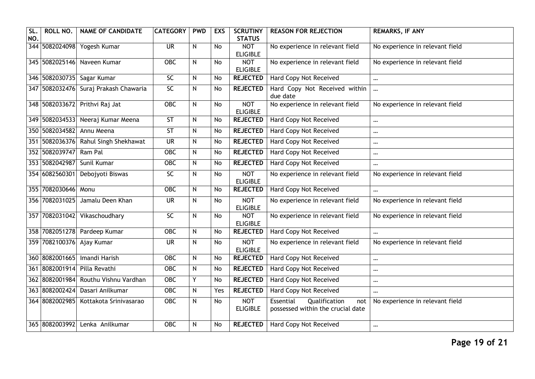| SL<br>NO. | <b>ROLL NO.</b>     | <b>NAME OF CANDIDATE</b>          | <b>CATEGORY</b>          | <b>PWD</b>   | <b>EXS</b> | <b>SCRUTINY</b><br><b>STATUS</b> | <b>REASON FOR REJECTION</b>                                            | <b>REMARKS, IF ANY</b>          |
|-----------|---------------------|-----------------------------------|--------------------------|--------------|------------|----------------------------------|------------------------------------------------------------------------|---------------------------------|
|           | 344 5082024098      | Yogesh Kumar                      | $\overline{\mathsf{UR}}$ | $\mathsf{N}$ | <b>No</b>  | <b>NOT</b><br><b>ELIGIBLE</b>    | No experience in relevant field                                        | No experience in relevant field |
|           | 345 5082025146      | Naveen Kumar                      | $\overline{OBC}$         | ${\sf N}$    | <b>No</b>  | <b>NOT</b><br><b>ELIGIBLE</b>    | No experience in relevant field                                        | No experience in relevant field |
|           |                     | 346 5082030735 Sagar Kumar        | SC                       | ${\sf N}$    | No         | <b>REJECTED</b>                  | Hard Copy Not Received                                                 | $\cdots$                        |
|           | 347 5082032476      | Suraj Prakash Chawaria            | $\overline{SC}$          | N            | No         | <b>REJECTED</b>                  | Hard Copy Not Received within<br>due date                              | $\ddotsc$                       |
|           |                     | 348 5082033672 Prithvi Raj Jat    | OBC                      | N            | <b>No</b>  | <b>NOT</b><br><b>ELIGIBLE</b>    | No experience in relevant field                                        | No experience in relevant field |
|           |                     | 349 5082034533 Neeraj Kumar Meena | <b>ST</b>                | N            | <b>No</b>  | <b>REJECTED</b>                  | Hard Copy Not Received                                                 | $\cdots$                        |
|           | 350 5082034582      | Annu Meena                        | ST                       | $\mathsf{N}$ | <b>No</b>  | <b>REJECTED</b>                  | <b>Hard Copy Not Received</b>                                          | $\cdots$                        |
|           | 351 5082036376      | Rahul Singh Shekhawat             | <b>UR</b>                | N            | No         | <b>REJECTED</b>                  | Hard Copy Not Received                                                 | $\cdots$                        |
|           | 352 5082039747      | Ram Pal                           | <b>OBC</b>               | $\mathsf{N}$ | <b>No</b>  | <b>REJECTED</b>                  | <b>Hard Copy Not Received</b>                                          | $\cdots$                        |
|           | 353 5082042987      | Sunil Kumar                       | OBC                      | ${\sf N}$    | No         | <b>REJECTED</b>                  | Hard Copy Not Received                                                 | $\cdots$                        |
|           | 354 6082560301      | Debojyoti Biswas                  | SC                       | $\mathsf{N}$ | <b>No</b>  | <b>NOT</b><br><b>ELIGIBLE</b>    | No experience in relevant field                                        | No experience in relevant field |
|           | 355 7082030646 Monu |                                   | $OE$                     | N            | <b>No</b>  | <b>REJECTED</b>                  | <b>Hard Copy Not Received</b>                                          | $\cdots$                        |
|           | 356 7082031025      | Jamalu Deen Khan                  | $\overline{\mathsf{UR}}$ | $\mathsf{N}$ | <b>No</b>  | <b>NOT</b><br><b>ELIGIBLE</b>    | No experience in relevant field                                        | No experience in relevant field |
| 357       | 7082031042          | Vikaschoudhary                    | <b>SC</b>                | $\mathsf{N}$ | <b>No</b>  | <b>NOT</b><br><b>ELIGIBLE</b>    | No experience in relevant field                                        | No experience in relevant field |
|           |                     | 358 7082051278 Pardeep Kumar      | $OE$                     | N            | <b>No</b>  | <b>REJECTED</b>                  | <b>Hard Copy Not Received</b>                                          |                                 |
|           |                     | 359 7082100376 Ajay Kumar         | $\overline{\mathsf{UR}}$ | $\mathsf{N}$ | <b>No</b>  | <b>NOT</b><br><b>ELIGIBLE</b>    | No experience in relevant field                                        | No experience in relevant field |
|           | 360 8082001665      | <b>Imandi Harish</b>              | <b>OBC</b>               | N            | <b>No</b>  | <b>REJECTED</b>                  | Hard Copy Not Received                                                 | $\cdots$                        |
|           | 361 8082001914      | Pilla Revathi                     | <b>OBC</b>               | ${\sf N}$    | No         | <b>REJECTED</b>                  | <b>Hard Copy Not Received</b>                                          | $\cdots$                        |
|           | 362 8082001984      | Routhu Vishnu Vardhan             | $OE$                     | Y            | No         | <b>REJECTED</b>                  | <b>Hard Copy Not Received</b>                                          | $\cdots$                        |
|           | 363 8082002424      | Dasari Anilkumar                  | <b>OBC</b>               | N            | Yes        | <b>REJECTED</b>                  | <b>Hard Copy Not Received</b>                                          | $\cdots$                        |
|           | 364 8082002985      | Kottakota Srinivasarao            | <b>OBC</b>               | $\mathsf{N}$ | <b>No</b>  | <b>NOT</b><br><b>ELIGIBLE</b>    | Essential<br>Qualification<br>not<br>possessed within the crucial date | No experience in relevant field |
|           | 365 8082003992      | Lenka Anilkumar                   | $OE$                     | N            | No         | <b>REJECTED</b>                  | <b>Hard Copy Not Received</b>                                          | $\cdots$                        |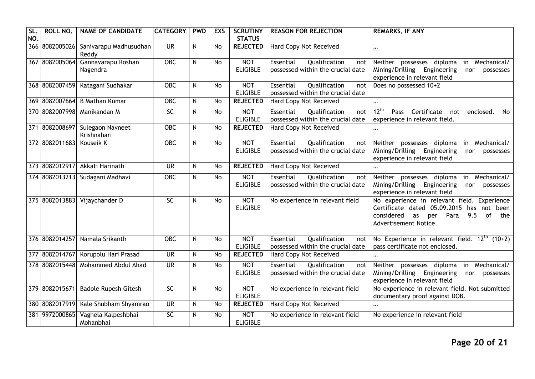| SL<br>NO. | <b>ROLL NO.</b> | <b>NAME OF CANDIDATE</b>         | <b>CATEGORY</b>          | <b>PWD</b>   | <b>EXS</b> | <b>SCRUTINY</b><br><b>STATUS</b> | <b>REASON FOR REJECTION</b>                                            | <b>REMARKS, IF ANY</b>                                                                                                                                                |
|-----------|-----------------|----------------------------------|--------------------------|--------------|------------|----------------------------------|------------------------------------------------------------------------|-----------------------------------------------------------------------------------------------------------------------------------------------------------------------|
|           | 366 8082005026  | Sanivarapu Madhusudhan<br>Reddy  | <b>UR</b>                | N.           | <b>No</b>  | <b>REJECTED</b>                  | Hard Copy Not Received                                                 | $\cdots$                                                                                                                                                              |
|           | 367 8082005064  | Gannavarapu Roshan<br>Nagendra   | <b>OBC</b>               | $\mathsf{N}$ | No         | <b>NOT</b><br><b>ELIGIBLE</b>    | Essential<br>Qualification<br>not<br>possessed within the crucial date | Neither possesses diploma<br>in Mechanical/<br>Mining/Drilling Engineering<br>possesses<br>nor<br>experience in relevant field                                        |
|           | 368 8082007459  | Katagani Sudhakar                | <b>OBC</b>               | N            | <b>No</b>  | <b>NOT</b><br><b>ELIGIBLE</b>    | Essential<br>Qualification<br>not<br>possessed within the crucial date | Does no possessed 10+2                                                                                                                                                |
|           | 369 8082007664  | <b>B Mathan Kumar</b>            | <b>OBC</b>               | ${\sf N}$    | <b>No</b>  | <b>REJECTED</b>                  | Hard Copy Not Received                                                 | $\cdots$                                                                                                                                                              |
|           |                 | 370 8082007998 Manikandan M      | $\overline{SC}$          | $\mathsf{N}$ | <b>No</b>  | <b>NOT</b><br><b>ELIGIBLE</b>    | Essential<br>Qualification<br>not<br>possessed within the crucial date | 12 <sup>th</sup><br>Certificate<br>enclosed.<br>Pass<br>No<br>not<br>experience in relevant field.                                                                    |
|           | 371 8082008697  | Sulegaon Navneet<br>Krishnahari  | <b>OBC</b>               | $\mathsf{N}$ | <b>No</b>  | <b>REJECTED</b>                  | Hard Copy Not Received                                                 |                                                                                                                                                                       |
|           | 372 8082011683  | Kouseik K                        | OBC                      | ${\sf N}$    | <b>No</b>  | <b>NOT</b><br><b>ELIGIBLE</b>    | Qualification<br>Essential<br>not<br>possessed within the crucial date | Neither possesses diploma<br>in Mechanical/<br>Mining/Drilling<br>Engineering<br>nor<br>possesses<br>experience in relevant field                                     |
|           |                 | 373 8082012917 Akkati Harinath   | <b>UR</b>                | $\mathsf{N}$ | <b>No</b>  | <b>REJECTED</b>                  | Hard Copy Not Received                                                 |                                                                                                                                                                       |
|           |                 | 374 8082013213 Sudagani Madhavi  | OBC                      | N            | No         | <b>NOT</b><br><b>ELIGIBLE</b>    | Qualification<br>Essential<br>not<br>possessed within the crucial date | in Mechanical/<br>Neither possesses diploma<br>Mining/Drilling<br>Engineering<br>nor<br>possesses<br>experience in relevant field                                     |
|           |                 | 375 8082013883 Vijaychander D    | 5C                       | N            | <b>No</b>  | <b>NOT</b><br><b>ELIGIBLE</b>    | No experience in relevant field                                        | No experience in relevant field. Experience<br>Certificate dated 05.09.2015 has not been<br>considered<br>Para<br>9.5 of<br>as<br>per<br>the<br>Advertisement Notice. |
|           | 376 8082014257  | Namala Srikanth                  | <b>OBC</b>               | N            | <b>No</b>  | <b>NOT</b><br><b>ELIGIBLE</b>    | Qualification<br>Essential<br>not<br>possessed within the crucial date | No Experience in relevant field. $12^{\text{th}}$ (10+2)<br>pass certificate not enclosed.                                                                            |
|           | 377 8082014767  | Korupolu Hari Prasad             | <b>UR</b>                | $\mathsf{N}$ | <b>No</b>  | <b>REJECTED</b>                  | Hard Copy Not Received                                                 |                                                                                                                                                                       |
|           | 378 8082015448  | Mohammed Abdul Ahad              | $\overline{\mathsf{UR}}$ | $\mathsf{N}$ | <b>No</b>  | <b>NOT</b><br><b>ELIGIBLE</b>    | Essential<br>Qualification<br>not<br>possessed within the crucial date | Neither possesses diploma<br>in Mechanical/<br>Mining/Drilling<br>Engineering<br>possesses<br>nor<br>experience in relevant field                                     |
|           | 379 8082015671  | <b>Badole Rupesh Gitesh</b>      | SC                       | $\mathsf{N}$ | <b>No</b>  | <b>NOT</b><br><b>ELIGIBLE</b>    | No experience in relevant field                                        | No experience in relevant field. Not submitted<br>documentary proof against DOB.                                                                                      |
|           | 380 8082017919  | Kale Shubham Shyamrao            | $\overline{\mathsf{UR}}$ | N            | No         | <b>REJECTED</b>                  | <b>Hard Copy Not Received</b>                                          | $\cdots$                                                                                                                                                              |
|           | 381 9972000865  | Vaghela Kalpeshbhai<br>Mohanbhai | $\overline{SC}$          | $\mathsf{N}$ | <b>No</b>  | <b>NOT</b><br><b>ELIGIBLE</b>    | No experience in relevant field                                        | No experience in relevant field                                                                                                                                       |